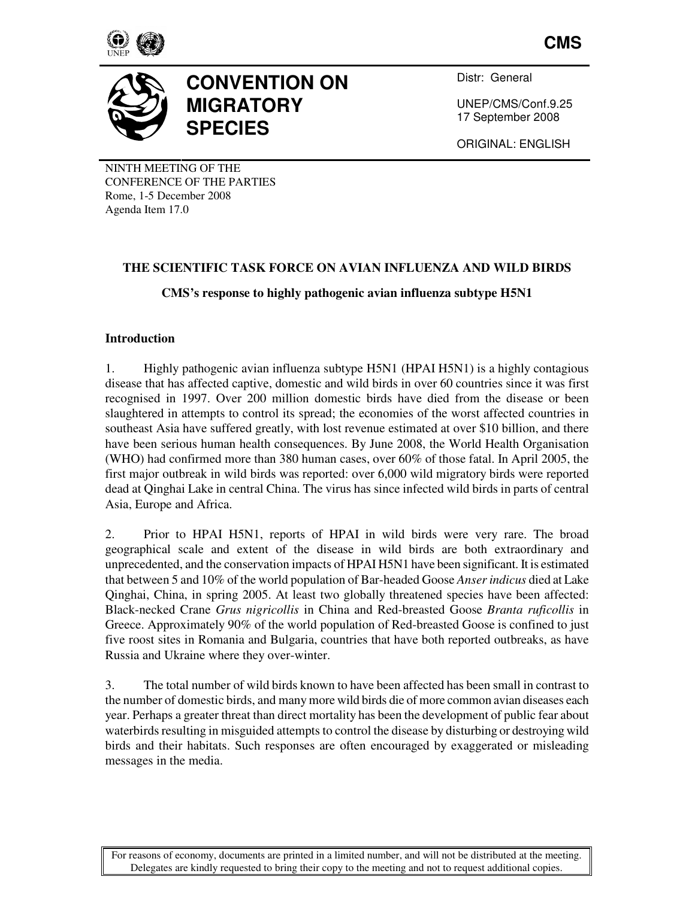

**CMS**



# **CONVENTION ON MIGRATORY SPECIES**

Distr: General

UNEP/CMS/Conf.9.25 17 September 2008

ORIGINAL: ENGLISH

NINTH MEETING OF THE CONFERENCE OF THE PARTIES Rome, 1-5 December 2008 Agenda Item 17.0

# **THE SCIENTIFIC TASK FORCE ON AVIAN INFLUENZA AND WILD BIRDS**

# **CMS's response to highly pathogenic avian influenza subtype H5N1**

# **Introduction**

1. Highly pathogenic avian influenza subtype H5N1 (HPAI H5N1) is a highly contagious disease that has affected captive, domestic and wild birds in over 60 countries since it was first recognised in 1997. Over 200 million domestic birds have died from the disease or been slaughtered in attempts to control its spread; the economies of the worst affected countries in southeast Asia have suffered greatly, with lost revenue estimated at over \$10 billion, and there have been serious human health consequences. By June 2008, the World Health Organisation (WHO) had confirmed more than 380 human cases, over 60% of those fatal. In April 2005, the first major outbreak in wild birds was reported: over 6,000 wild migratory birds were reported dead at Qinghai Lake in central China. The virus has since infected wild birds in parts of central Asia, Europe and Africa.

2. Prior to HPAI H5N1, reports of HPAI in wild birds were very rare. The broad geographical scale and extent of the disease in wild birds are both extraordinary and unprecedented, and the conservation impacts of HPAI H5N1 have been significant. It is estimated that between 5 and 10% of the world population of Bar-headed Goose *Anser indicus* died at Lake Qinghai, China, in spring 2005. At least two globally threatened species have been affected: Black-necked Crane *Grus nigricollis* in China and Red-breasted Goose *Branta ruficollis* in Greece. Approximately 90% of the world population of Red-breasted Goose is confined to just five roost sites in Romania and Bulgaria, countries that have both reported outbreaks, as have Russia and Ukraine where they over-winter.

3. The total number of wild birds known to have been affected has been small in contrast to the number of domestic birds, and many more wild birds die of more common avian diseases each year. Perhaps a greater threat than direct mortality has been the development of public fear about waterbirds resulting in misguided attempts to control the disease by disturbing or destroying wild birds and their habitats. Such responses are often encouraged by exaggerated or misleading messages in the media.

For reasons of economy, documents are printed in a limited number, and will not be distributed at the meeting. Delegates are kindly requested to bring their copy to the meeting and not to request additional copies.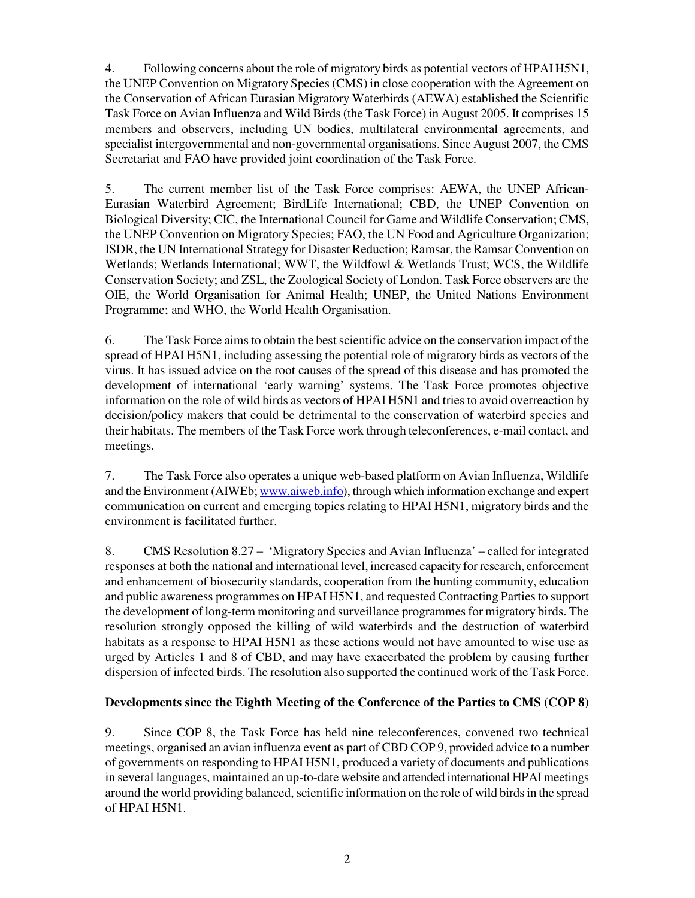4. Following concerns about the role of migratory birds as potential vectors of HPAI H5N1, the UNEP Convention on Migratory Species (CMS) in close cooperation with the Agreement on the Conservation of African Eurasian Migratory Waterbirds (AEWA) established the Scientific Task Force on Avian Influenza and Wild Birds (the Task Force) in August 2005. It comprises 15 members and observers, including UN bodies, multilateral environmental agreements, and specialist intergovernmental and non-governmental organisations. Since August 2007, the CMS Secretariat and FAO have provided joint coordination of the Task Force.

5. The current member list of the Task Force comprises: AEWA, the UNEP African-Eurasian Waterbird Agreement; BirdLife International; CBD, the UNEP Convention on Biological Diversity; CIC, the International Council for Game and Wildlife Conservation; CMS, the UNEP Convention on Migratory Species; FAO, the UN Food and Agriculture Organization; ISDR, the UN International Strategy for Disaster Reduction; Ramsar, the Ramsar Convention on Wetlands; Wetlands International; WWT, the Wildfowl & Wetlands Trust; WCS, the Wildlife Conservation Society; and ZSL, the Zoological Society of London. Task Force observers are the OIE, the World Organisation for Animal Health; UNEP, the United Nations Environment Programme; and WHO, the World Health Organisation.

6. The Task Force aims to obtain the best scientific advice on the conservation impact of the spread of HPAI H5N1, including assessing the potential role of migratory birds as vectors of the virus. It has issued advice on the root causes of the spread of this disease and has promoted the development of international 'early warning' systems. The Task Force promotes objective information on the role of wild birds as vectors of HPAI H5N1 and tries to avoid overreaction by decision/policy makers that could be detrimental to the conservation of waterbird species and their habitats. The members of the Task Force work through teleconferences, e-mail contact, and meetings.

7. The Task Force also operates a unique web-based platform on Avian Influenza, Wildlife and the Environment (AIWEb; www.aiweb.info), through which information exchange and expert communication on current and emerging topics relating to HPAI H5N1, migratory birds and the environment is facilitated further.

8. CMS Resolution 8.27 – 'Migratory Species and Avian Influenza' – called for integrated responses at both the national and international level, increased capacity for research, enforcement and enhancement of biosecurity standards, cooperation from the hunting community, education and public awareness programmes on HPAI H5N1, and requested Contracting Parties to support the development of long-term monitoring and surveillance programmes for migratory birds. The resolution strongly opposed the killing of wild waterbirds and the destruction of waterbird habitats as a response to HPAI H5N1 as these actions would not have amounted to wise use as urged by Articles 1 and 8 of CBD, and may have exacerbated the problem by causing further dispersion of infected birds. The resolution also supported the continued work of the Task Force.

# **Developments since the Eighth Meeting of the Conference of the Parties to CMS (COP 8)**

9. Since COP 8, the Task Force has held nine teleconferences, convened two technical meetings, organised an avian influenza event as part of CBD COP 9, provided advice to a number of governments on responding to HPAI H5N1, produced a variety of documents and publications in several languages, maintained an up-to-date website and attended international HPAI meetings around the world providing balanced, scientific information on the role of wild birds in the spread of HPAI H5N1.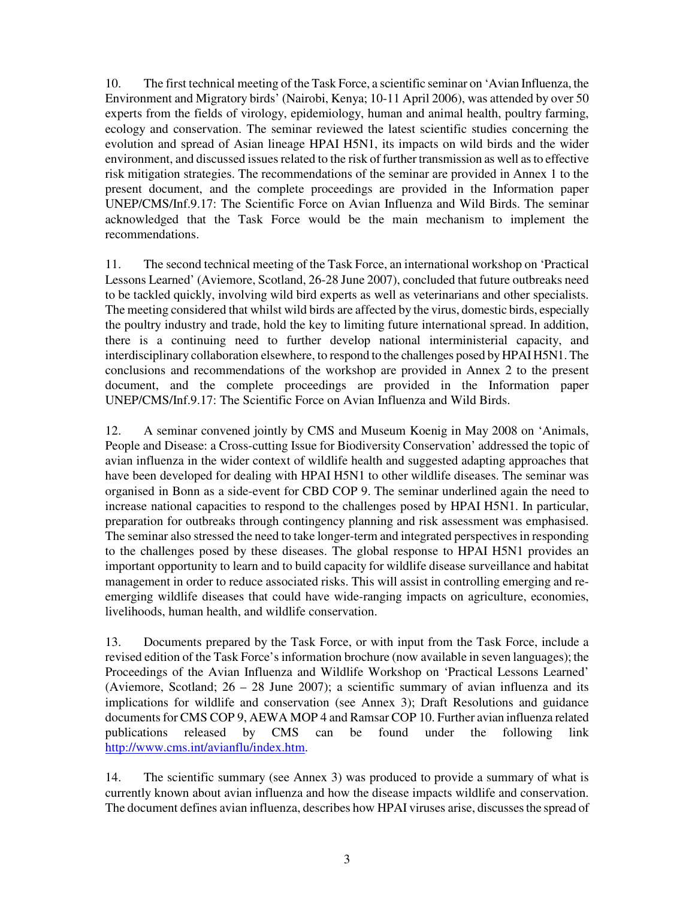10. The first technical meeting of the Task Force, a scientific seminar on 'Avian Influenza, the Environment and Migratory birds' (Nairobi, Kenya; 10-11 April 2006), was attended by over 50 experts from the fields of virology, epidemiology, human and animal health, poultry farming, ecology and conservation. The seminar reviewed the latest scientific studies concerning the evolution and spread of Asian lineage HPAI H5N1, its impacts on wild birds and the wider environment, and discussed issues related to the risk of further transmission as well as to effective risk mitigation strategies. The recommendations of the seminar are provided in Annex 1 to the present document, and the complete proceedings are provided in the Information paper UNEP/CMS/Inf.9.17: The Scientific Force on Avian Influenza and Wild Birds. The seminar acknowledged that the Task Force would be the main mechanism to implement the recommendations.

11. The second technical meeting of the Task Force, an international workshop on 'Practical Lessons Learned' (Aviemore, Scotland, 26-28 June 2007), concluded that future outbreaks need to be tackled quickly, involving wild bird experts as well as veterinarians and other specialists. The meeting considered that whilst wild birds are affected by the virus, domestic birds, especially the poultry industry and trade, hold the key to limiting future international spread. In addition, there is a continuing need to further develop national interministerial capacity, and interdisciplinary collaboration elsewhere, to respond to the challenges posed by HPAI H5N1. The conclusions and recommendations of the workshop are provided in Annex 2 to the present document, and the complete proceedings are provided in the Information paper UNEP/CMS/Inf.9.17: The Scientific Force on Avian Influenza and Wild Birds.

12. A seminar convened jointly by CMS and Museum Koenig in May 2008 on 'Animals, People and Disease: a Cross-cutting Issue for Biodiversity Conservation' addressed the topic of avian influenza in the wider context of wildlife health and suggested adapting approaches that have been developed for dealing with HPAI H5N1 to other wildlife diseases. The seminar was organised in Bonn as a side-event for CBD COP 9. The seminar underlined again the need to increase national capacities to respond to the challenges posed by HPAI H5N1. In particular, preparation for outbreaks through contingency planning and risk assessment was emphasised. The seminar also stressed the need to take longer-term and integrated perspectives in responding to the challenges posed by these diseases. The global response to HPAI H5N1 provides an important opportunity to learn and to build capacity for wildlife disease surveillance and habitat management in order to reduce associated risks. This will assist in controlling emerging and reemerging wildlife diseases that could have wide-ranging impacts on agriculture, economies, livelihoods, human health, and wildlife conservation.

13. Documents prepared by the Task Force, or with input from the Task Force, include a revised edition of the Task Force's information brochure (now available in seven languages); the Proceedings of the Avian Influenza and Wildlife Workshop on 'Practical Lessons Learned' (Aviemore, Scotland;  $26 - 28$  June 2007); a scientific summary of avian influenza and its implications for wildlife and conservation (see Annex 3); Draft Resolutions and guidance documents for CMS COP 9, AEWA MOP 4 and Ramsar COP 10. Further avian influenza related publications released by CMS can be found under the following link http://www.cms.int/avianflu/index.htm.

14. The scientific summary (see Annex 3) was produced to provide a summary of what is currently known about avian influenza and how the disease impacts wildlife and conservation. The document defines avian influenza, describes how HPAI viruses arise, discusses the spread of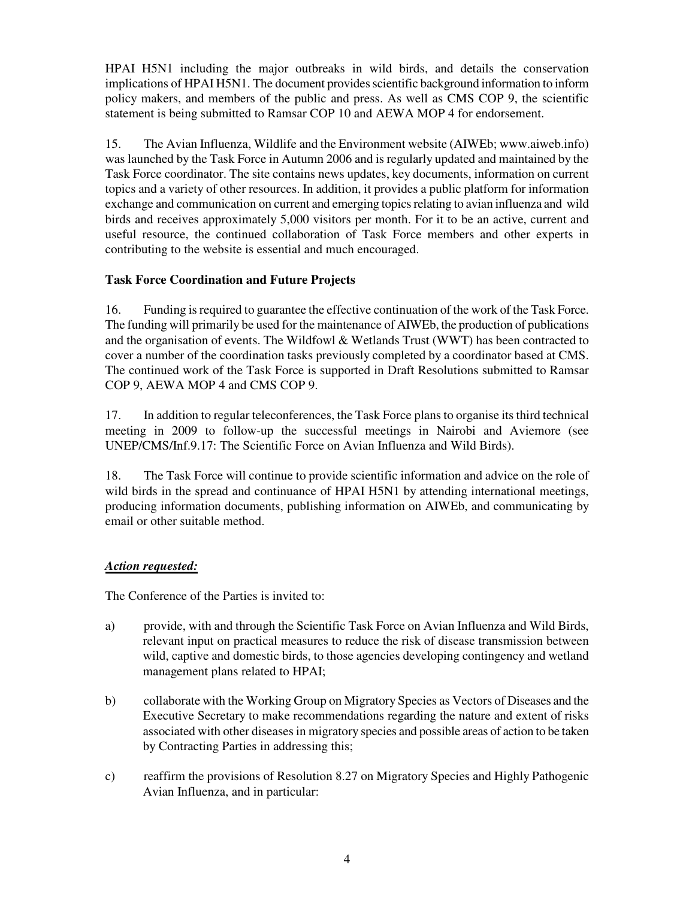HPAI H5N1 including the major outbreaks in wild birds, and details the conservation implications of HPAI H5N1. The document provides scientific background information to inform policy makers, and members of the public and press. As well as CMS COP 9, the scientific statement is being submitted to Ramsar COP 10 and AEWA MOP 4 for endorsement.

15. The Avian Influenza, Wildlife and the Environment website (AIWEb; www.aiweb.info) was launched by the Task Force in Autumn 2006 and is regularly updated and maintained by the Task Force coordinator. The site contains news updates, key documents, information on current topics and a variety of other resources. In addition, it provides a public platform for information exchange and communication on current and emerging topics relating to avian influenza and wild birds and receives approximately 5,000 visitors per month. For it to be an active, current and useful resource, the continued collaboration of Task Force members and other experts in contributing to the website is essential and much encouraged.

# **Task Force Coordination and Future Projects**

16. Funding is required to guarantee the effective continuation of the work of the Task Force. The funding will primarily be used for the maintenance of AIWEb, the production of publications and the organisation of events. The Wildfowl & Wetlands Trust (WWT) has been contracted to cover a number of the coordination tasks previously completed by a coordinator based at CMS. The continued work of the Task Force is supported in Draft Resolutions submitted to Ramsar COP 9, AEWA MOP 4 and CMS COP 9.

17. In addition to regular teleconferences, the Task Force plans to organise its third technical meeting in 2009 to follow-up the successful meetings in Nairobi and Aviemore (see UNEP/CMS/Inf.9.17: The Scientific Force on Avian Influenza and Wild Birds).

18. The Task Force will continue to provide scientific information and advice on the role of wild birds in the spread and continuance of HPAI H5N1 by attending international meetings, producing information documents, publishing information on AIWEb, and communicating by email or other suitable method.

# *Action requested:*

The Conference of the Parties is invited to:

- a) provide, with and through the Scientific Task Force on Avian Influenza and Wild Birds, relevant input on practical measures to reduce the risk of disease transmission between wild, captive and domestic birds, to those agencies developing contingency and wetland management plans related to HPAI;
- b) collaborate with the Working Group on Migratory Species as Vectors of Diseases and the Executive Secretary to make recommendations regarding the nature and extent of risks associated with other diseases in migratory species and possible areas of action to be taken by Contracting Parties in addressing this;
- c) reaffirm the provisions of Resolution 8.27 on Migratory Species and Highly Pathogenic Avian Influenza, and in particular: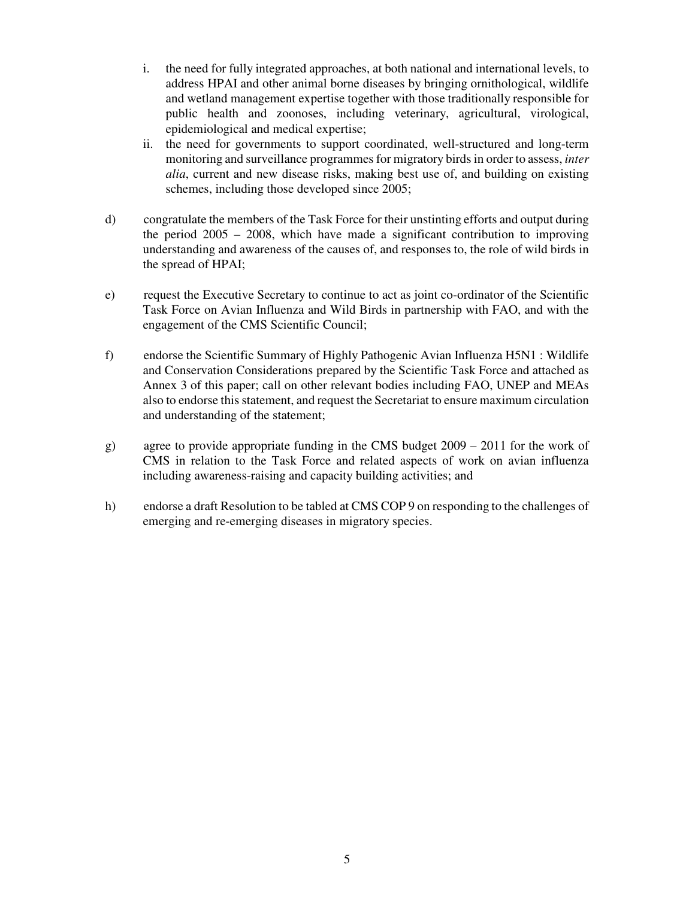- i. the need for fully integrated approaches, at both national and international levels, to address HPAI and other animal borne diseases by bringing ornithological, wildlife and wetland management expertise together with those traditionally responsible for public health and zoonoses, including veterinary, agricultural, virological, epidemiological and medical expertise;
- ii. the need for governments to support coordinated, well-structured and long-term monitoring and surveillance programmes for migratory birds in order to assess, *inter alia*, current and new disease risks, making best use of, and building on existing schemes, including those developed since 2005;
- d) congratulate the members of the Task Force for their unstinting efforts and output during the period  $2005 - 2008$ , which have made a significant contribution to improving understanding and awareness of the causes of, and responses to, the role of wild birds in the spread of HPAI;
- e) request the Executive Secretary to continue to act as joint co-ordinator of the Scientific Task Force on Avian Influenza and Wild Birds in partnership with FAO, and with the engagement of the CMS Scientific Council;
- f) endorse the Scientific Summary of Highly Pathogenic Avian Influenza H5N1 : Wildlife and Conservation Considerations prepared by the Scientific Task Force and attached as Annex 3 of this paper; call on other relevant bodies including FAO, UNEP and MEAs also to endorse this statement, and request the Secretariat to ensure maximum circulation and understanding of the statement;
- g) agree to provide appropriate funding in the CMS budget 2009 2011 for the work of CMS in relation to the Task Force and related aspects of work on avian influenza including awareness-raising and capacity building activities; and
- h) endorse a draft Resolution to be tabled at CMS COP 9 on responding to the challenges of emerging and re-emerging diseases in migratory species.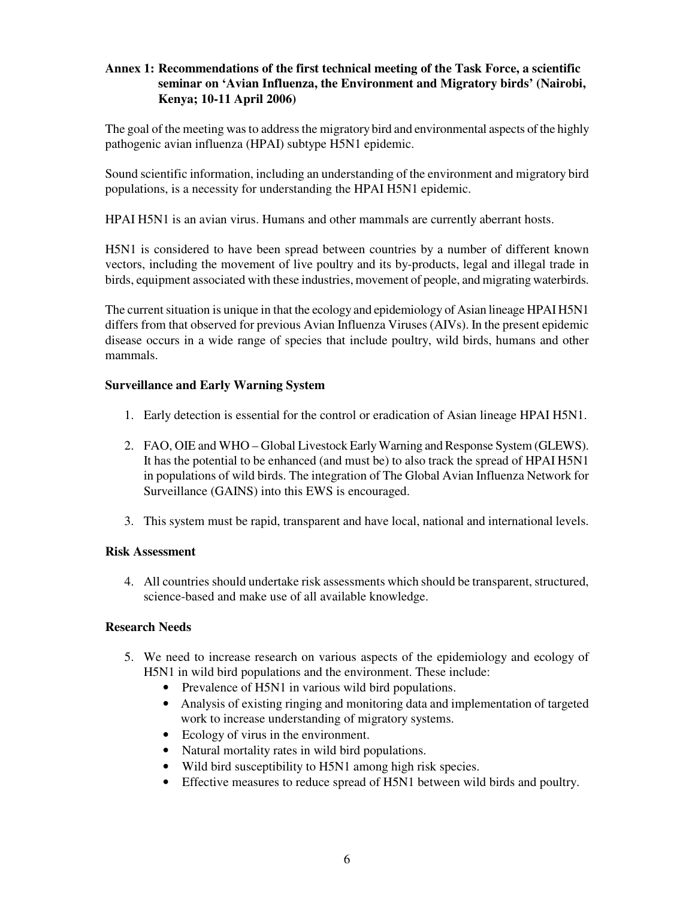# **Annex 1: Recommendations of the first technical meeting of the Task Force, a scientific seminar on 'Avian Influenza, the Environment and Migratory birds' (Nairobi, Kenya; 10-11 April 2006)**

The goal of the meeting was to address the migratory bird and environmental aspects of the highly pathogenic avian influenza (HPAI) subtype H5N1 epidemic.

Sound scientific information, including an understanding of the environment and migratory bird populations, is a necessity for understanding the HPAI H5N1 epidemic.

HPAI H5N1 is an avian virus. Humans and other mammals are currently aberrant hosts.

H5N1 is considered to have been spread between countries by a number of different known vectors, including the movement of live poultry and its by-products, legal and illegal trade in birds, equipment associated with these industries, movement of people, and migrating waterbirds.

The current situation is unique in that the ecology and epidemiology of Asian lineage HPAI H5N1 differs from that observed for previous Avian Influenza Viruses (AIVs). In the present epidemic disease occurs in a wide range of species that include poultry, wild birds, humans and other mammals.

## **Surveillance and Early Warning System**

- 1. Early detection is essential for the control or eradication of Asian lineage HPAI H5N1.
- 2. FAO, OIE and WHO Global Livestock Early Warning and Response System (GLEWS). It has the potential to be enhanced (and must be) to also track the spread of HPAI H5N1 in populations of wild birds. The integration of The Global Avian Influenza Network for Surveillance (GAINS) into this EWS is encouraged.
- 3. This system must be rapid, transparent and have local, national and international levels.

#### **Risk Assessment**

4. All countries should undertake risk assessments which should be transparent, structured, science-based and make use of all available knowledge.

# **Research Needs**

- 5. We need to increase research on various aspects of the epidemiology and ecology of H5N1 in wild bird populations and the environment. These include:
	- Prevalence of H5N1 in various wild bird populations.
	- Analysis of existing ringing and monitoring data and implementation of targeted work to increase understanding of migratory systems.
	- Ecology of virus in the environment.
	- Natural mortality rates in wild bird populations.
	- Wild bird susceptibility to H5N1 among high risk species.
	- Effective measures to reduce spread of H5N1 between wild birds and poultry.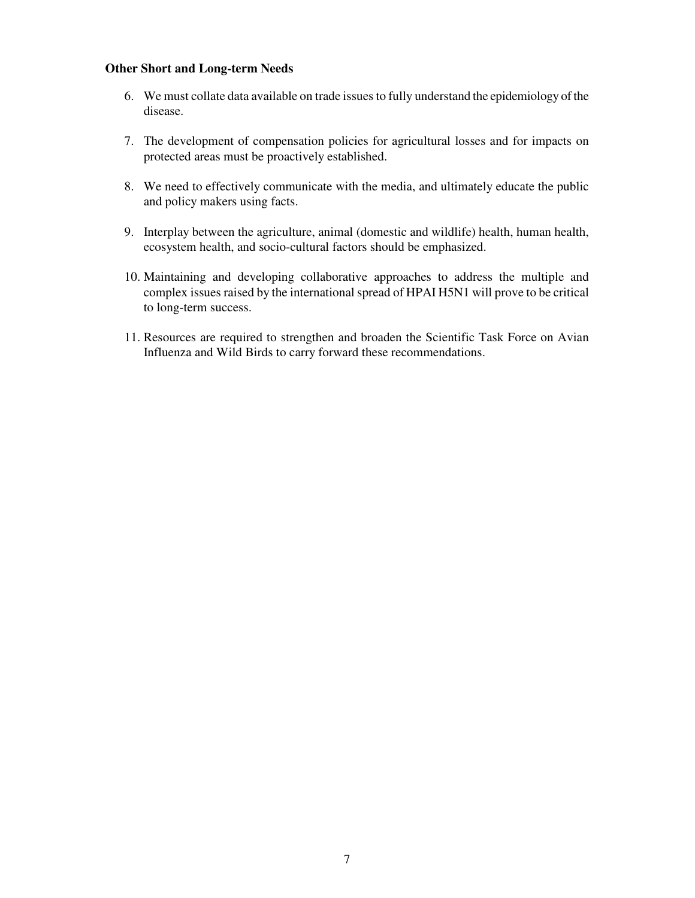#### **Other Short and Long-term Needs**

- 6. We must collate data available on trade issues to fully understand the epidemiology of the disease.
- 7. The development of compensation policies for agricultural losses and for impacts on protected areas must be proactively established.
- 8. We need to effectively communicate with the media, and ultimately educate the public and policy makers using facts.
- 9. Interplay between the agriculture, animal (domestic and wildlife) health, human health, ecosystem health, and socio-cultural factors should be emphasized.
- 10. Maintaining and developing collaborative approaches to address the multiple and complex issues raised by the international spread of HPAI H5N1 will prove to be critical to long-term success.
- 11. Resources are required to strengthen and broaden the Scientific Task Force on Avian Influenza and Wild Birds to carry forward these recommendations.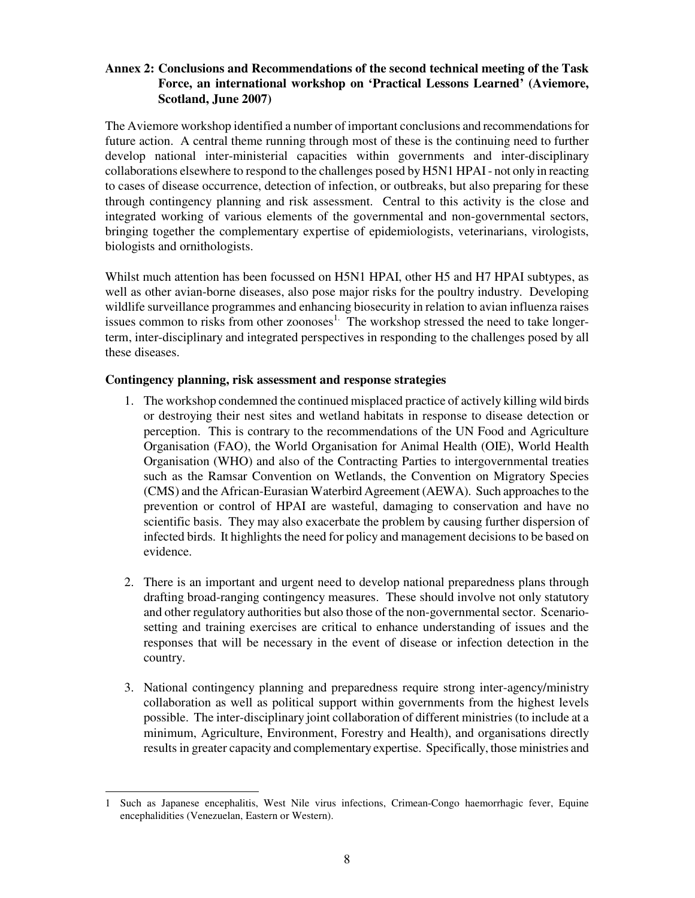## **Annex 2: Conclusions and Recommendations of the second technical meeting of the Task Force, an international workshop on 'Practical Lessons Learned' (Aviemore, Scotland, June 2007)**

The Aviemore workshop identified a number of important conclusions and recommendations for future action. A central theme running through most of these is the continuing need to further develop national inter-ministerial capacities within governments and inter-disciplinary collaborations elsewhere to respond to the challenges posed by H5N1 HPAI - not only in reacting to cases of disease occurrence, detection of infection, or outbreaks, but also preparing for these through contingency planning and risk assessment. Central to this activity is the close and integrated working of various elements of the governmental and non-governmental sectors, bringing together the complementary expertise of epidemiologists, veterinarians, virologists, biologists and ornithologists.

Whilst much attention has been focussed on H5N1 HPAI, other H5 and H7 HPAI subtypes, as well as other avian-borne diseases, also pose major risks for the poultry industry. Developing wildlife surveillance programmes and enhancing biosecurity in relation to avian influenza raises issues common to risks from other zoonoses<sup>1.</sup> The workshop stressed the need to take longerterm, inter-disciplinary and integrated perspectives in responding to the challenges posed by all these diseases.

#### **Contingency planning, risk assessment and response strategies**

- 1. The workshop condemned the continued misplaced practice of actively killing wild birds or destroying their nest sites and wetland habitats in response to disease detection or perception. This is contrary to the recommendations of the UN Food and Agriculture Organisation (FAO), the World Organisation for Animal Health (OIE), World Health Organisation (WHO) and also of the Contracting Parties to intergovernmental treaties such as the Ramsar Convention on Wetlands, the Convention on Migratory Species (CMS) and the African-Eurasian Waterbird Agreement (AEWA). Such approaches to the prevention or control of HPAI are wasteful, damaging to conservation and have no scientific basis. They may also exacerbate the problem by causing further dispersion of infected birds. It highlights the need for policy and management decisions to be based on evidence.
- 2. There is an important and urgent need to develop national preparedness plans through drafting broad-ranging contingency measures. These should involve not only statutory and other regulatory authorities but also those of the non-governmental sector. Scenariosetting and training exercises are critical to enhance understanding of issues and the responses that will be necessary in the event of disease or infection detection in the country.
- 3. National contingency planning and preparedness require strong inter-agency/ministry collaboration as well as political support within governments from the highest levels possible. The inter-disciplinary joint collaboration of different ministries (to include at a minimum, Agriculture, Environment, Forestry and Health), and organisations directly results in greater capacity and complementary expertise. Specifically, those ministries and

 $\overline{\phantom{a}}$ 1 Such as Japanese encephalitis, West Nile virus infections, Crimean-Congo haemorrhagic fever, Equine encephalidities (Venezuelan, Eastern or Western).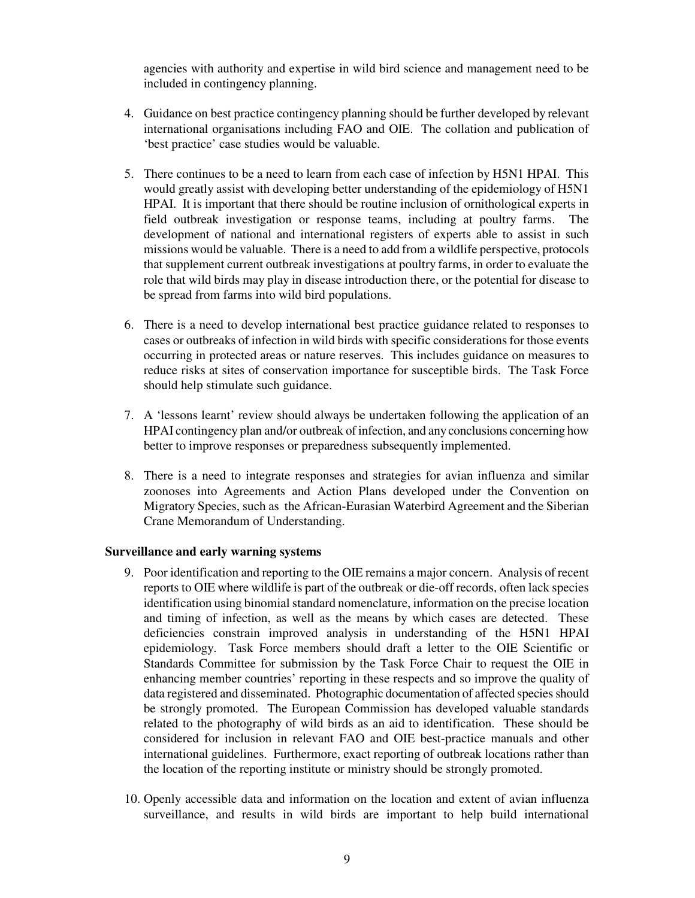agencies with authority and expertise in wild bird science and management need to be included in contingency planning.

- 4. Guidance on best practice contingency planning should be further developed by relevant international organisations including FAO and OIE. The collation and publication of 'best practice' case studies would be valuable.
- 5. There continues to be a need to learn from each case of infection by H5N1 HPAI. This would greatly assist with developing better understanding of the epidemiology of H5N1 HPAI. It is important that there should be routine inclusion of ornithological experts in field outbreak investigation or response teams, including at poultry farms. The development of national and international registers of experts able to assist in such missions would be valuable. There is a need to add from a wildlife perspective, protocols that supplement current outbreak investigations at poultry farms, in order to evaluate the role that wild birds may play in disease introduction there, or the potential for disease to be spread from farms into wild bird populations.
- 6. There is a need to develop international best practice guidance related to responses to cases or outbreaks of infection in wild birds with specific considerations for those events occurring in protected areas or nature reserves. This includes guidance on measures to reduce risks at sites of conservation importance for susceptible birds. The Task Force should help stimulate such guidance.
- 7. A 'lessons learnt' review should always be undertaken following the application of an HPAI contingency plan and/or outbreak of infection, and any conclusions concerning how better to improve responses or preparedness subsequently implemented.
- 8. There is a need to integrate responses and strategies for avian influenza and similar zoonoses into Agreements and Action Plans developed under the Convention on Migratory Species, such as the African-Eurasian Waterbird Agreement and the Siberian Crane Memorandum of Understanding.

#### **Surveillance and early warning systems**

- 9. Poor identification and reporting to the OIE remains a major concern. Analysis of recent reports to OIE where wildlife is part of the outbreak or die-off records, often lack species identification using binomial standard nomenclature, information on the precise location and timing of infection, as well as the means by which cases are detected. These deficiencies constrain improved analysis in understanding of the H5N1 HPAI epidemiology. Task Force members should draft a letter to the OIE Scientific or Standards Committee for submission by the Task Force Chair to request the OIE in enhancing member countries' reporting in these respects and so improve the quality of data registered and disseminated. Photographic documentation of affected species should be strongly promoted. The European Commission has developed valuable standards related to the photography of wild birds as an aid to identification. These should be considered for inclusion in relevant FAO and OIE best-practice manuals and other international guidelines. Furthermore, exact reporting of outbreak locations rather than the location of the reporting institute or ministry should be strongly promoted.
- 10. Openly accessible data and information on the location and extent of avian influenza surveillance, and results in wild birds are important to help build international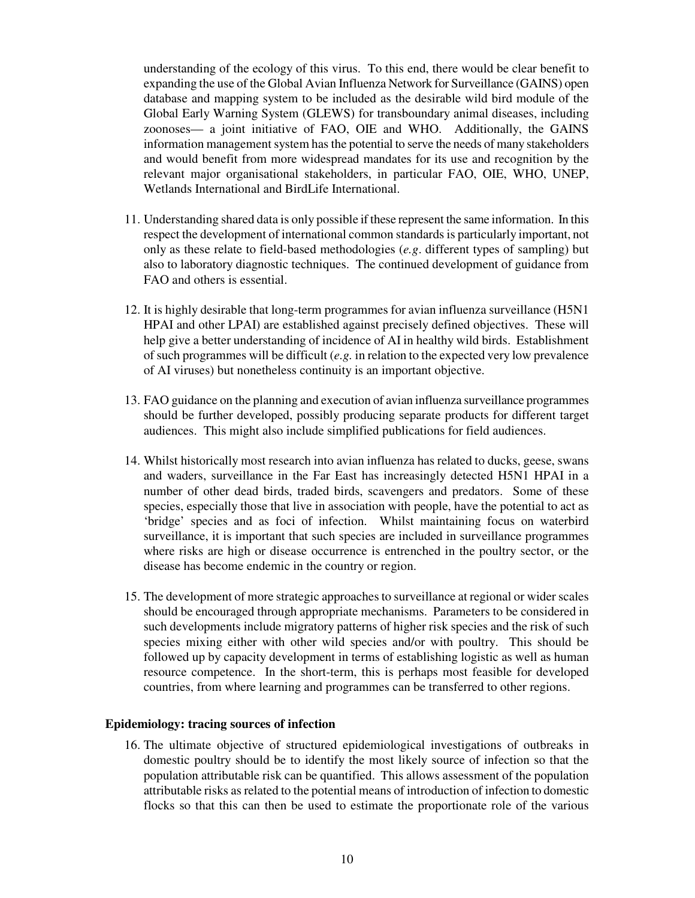understanding of the ecology of this virus. To this end, there would be clear benefit to expanding the use of the Global Avian Influenza Network for Surveillance (GAINS) open database and mapping system to be included as the desirable wild bird module of the Global Early Warning System (GLEWS) for transboundary animal diseases, including zoonoses— a joint initiative of FAO, OIE and WHO. Additionally, the GAINS information management system has the potential to serve the needs of many stakeholders and would benefit from more widespread mandates for its use and recognition by the relevant major organisational stakeholders, in particular FAO, OIE, WHO, UNEP, Wetlands International and BirdLife International.

- 11. Understanding shared data is only possible if these represent the same information. In this respect the development of international common standards is particularly important, not only as these relate to field-based methodologies (*e.g*. different types of sampling) but also to laboratory diagnostic techniques. The continued development of guidance from FAO and others is essential.
- 12. It is highly desirable that long-term programmes for avian influenza surveillance (H5N1 HPAI and other LPAI) are established against precisely defined objectives. These will help give a better understanding of incidence of AI in healthy wild birds. Establishment of such programmes will be difficult (*e.g.* in relation to the expected very low prevalence of AI viruses) but nonetheless continuity is an important objective.
- 13. FAO guidance on the planning and execution of avian influenza surveillance programmes should be further developed, possibly producing separate products for different target audiences. This might also include simplified publications for field audiences.
- 14. Whilst historically most research into avian influenza has related to ducks, geese, swans and waders, surveillance in the Far East has increasingly detected H5N1 HPAI in a number of other dead birds, traded birds, scavengers and predators. Some of these species, especially those that live in association with people, have the potential to act as 'bridge' species and as foci of infection. Whilst maintaining focus on waterbird surveillance, it is important that such species are included in surveillance programmes where risks are high or disease occurrence is entrenched in the poultry sector, or the disease has become endemic in the country or region.
- 15. The development of more strategic approaches to surveillance at regional or wider scales should be encouraged through appropriate mechanisms. Parameters to be considered in such developments include migratory patterns of higher risk species and the risk of such species mixing either with other wild species and/or with poultry. This should be followed up by capacity development in terms of establishing logistic as well as human resource competence. In the short-term, this is perhaps most feasible for developed countries, from where learning and programmes can be transferred to other regions.

#### **Epidemiology: tracing sources of infection**

16. The ultimate objective of structured epidemiological investigations of outbreaks in domestic poultry should be to identify the most likely source of infection so that the population attributable risk can be quantified. This allows assessment of the population attributable risks as related to the potential means of introduction of infection to domestic flocks so that this can then be used to estimate the proportionate role of the various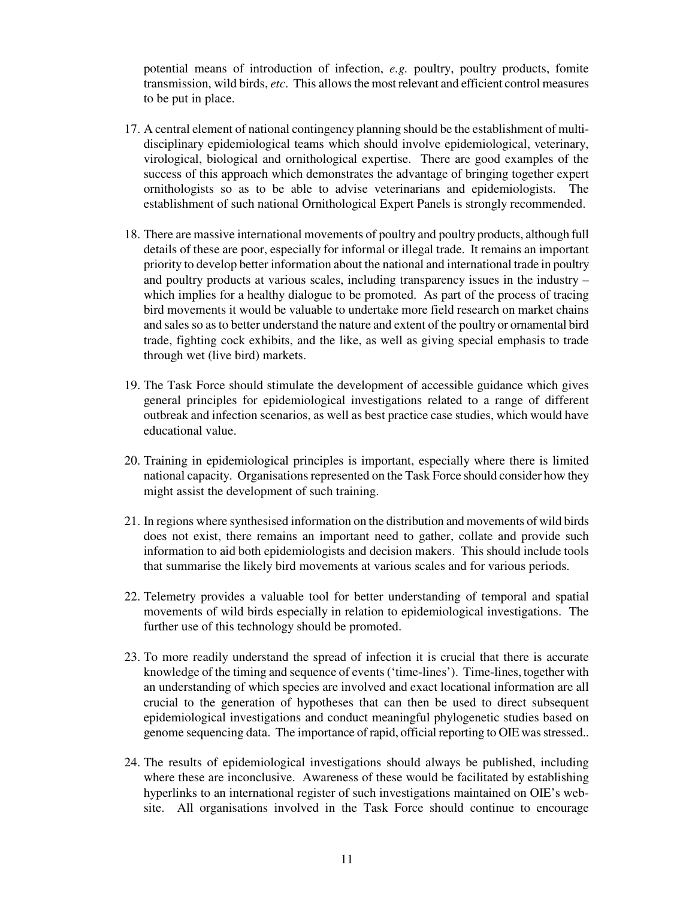potential means of introduction of infection, *e.g.* poultry, poultry products, fomite transmission, wild birds, *etc*. This allows the most relevant and efficient control measures to be put in place.

- 17. A central element of national contingency planning should be the establishment of multidisciplinary epidemiological teams which should involve epidemiological, veterinary, virological, biological and ornithological expertise. There are good examples of the success of this approach which demonstrates the advantage of bringing together expert ornithologists so as to be able to advise veterinarians and epidemiologists. The establishment of such national Ornithological Expert Panels is strongly recommended.
- 18. There are massive international movements of poultry and poultry products, although full details of these are poor, especially for informal or illegal trade. It remains an important priority to develop better information about the national and international trade in poultry and poultry products at various scales, including transparency issues in the industry – which implies for a healthy dialogue to be promoted. As part of the process of tracing bird movements it would be valuable to undertake more field research on market chains and sales so as to better understand the nature and extent of the poultry or ornamental bird trade, fighting cock exhibits, and the like, as well as giving special emphasis to trade through wet (live bird) markets.
- 19. The Task Force should stimulate the development of accessible guidance which gives general principles for epidemiological investigations related to a range of different outbreak and infection scenarios, as well as best practice case studies, which would have educational value.
- 20. Training in epidemiological principles is important, especially where there is limited national capacity. Organisations represented on the Task Force should consider how they might assist the development of such training.
- 21. In regions where synthesised information on the distribution and movements of wild birds does not exist, there remains an important need to gather, collate and provide such information to aid both epidemiologists and decision makers. This should include tools that summarise the likely bird movements at various scales and for various periods.
- 22. Telemetry provides a valuable tool for better understanding of temporal and spatial movements of wild birds especially in relation to epidemiological investigations. The further use of this technology should be promoted.
- 23. To more readily understand the spread of infection it is crucial that there is accurate knowledge of the timing and sequence of events ('time-lines'). Time-lines, together with an understanding of which species are involved and exact locational information are all crucial to the generation of hypotheses that can then be used to direct subsequent epidemiological investigations and conduct meaningful phylogenetic studies based on genome sequencing data. The importance of rapid, official reporting to OIE was stressed..
- 24. The results of epidemiological investigations should always be published, including where these are inconclusive. Awareness of these would be facilitated by establishing hyperlinks to an international register of such investigations maintained on OIE's website. All organisations involved in the Task Force should continue to encourage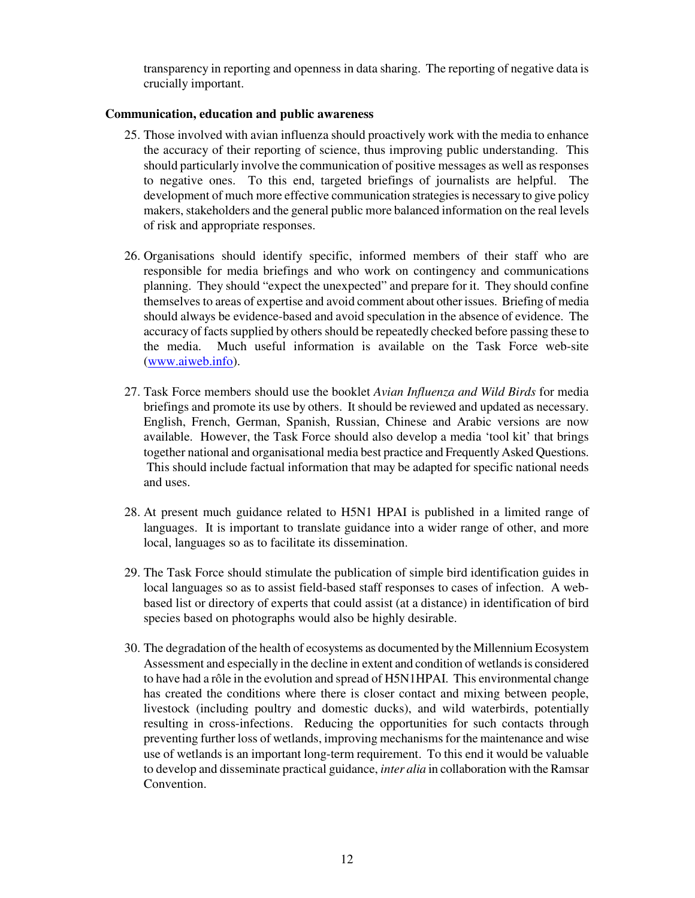transparency in reporting and openness in data sharing. The reporting of negative data is crucially important.

#### **Communication, education and public awareness**

- 25. Those involved with avian influenza should proactively work with the media to enhance the accuracy of their reporting of science, thus improving public understanding. This should particularly involve the communication of positive messages as well as responses to negative ones. To this end, targeted briefings of journalists are helpful. The development of much more effective communication strategies is necessary to give policy makers, stakeholders and the general public more balanced information on the real levels of risk and appropriate responses.
- 26. Organisations should identify specific, informed members of their staff who are responsible for media briefings and who work on contingency and communications planning. They should "expect the unexpected" and prepare for it. They should confine themselves to areas of expertise and avoid comment about other issues. Briefing of media should always be evidence-based and avoid speculation in the absence of evidence. The accuracy of facts supplied by others should be repeatedly checked before passing these to the media. Much useful information is available on the Task Force web-site (www.aiweb.info).
- 27. Task Force members should use the booklet *Avian Influenza and Wild Birds* for media briefings and promote its use by others. It should be reviewed and updated as necessary. English, French, German, Spanish, Russian, Chinese and Arabic versions are now available. However, the Task Force should also develop a media 'tool kit' that brings together national and organisational media best practice and Frequently Asked Questions. This should include factual information that may be adapted for specific national needs and uses.
- 28. At present much guidance related to H5N1 HPAI is published in a limited range of languages. It is important to translate guidance into a wider range of other, and more local, languages so as to facilitate its dissemination.
- 29. The Task Force should stimulate the publication of simple bird identification guides in local languages so as to assist field-based staff responses to cases of infection. A webbased list or directory of experts that could assist (at a distance) in identification of bird species based on photographs would also be highly desirable.
- 30. The degradation of the health of ecosystems as documented by the Millennium Ecosystem Assessment and especially in the decline in extent and condition of wetlands is considered to have had a rôle in the evolution and spread of H5N1HPAI. This environmental change has created the conditions where there is closer contact and mixing between people, livestock (including poultry and domestic ducks), and wild waterbirds, potentially resulting in cross-infections. Reducing the opportunities for such contacts through preventing further loss of wetlands, improving mechanisms for the maintenance and wise use of wetlands is an important long-term requirement. To this end it would be valuable to develop and disseminate practical guidance, *inter alia* in collaboration with the Ramsar Convention.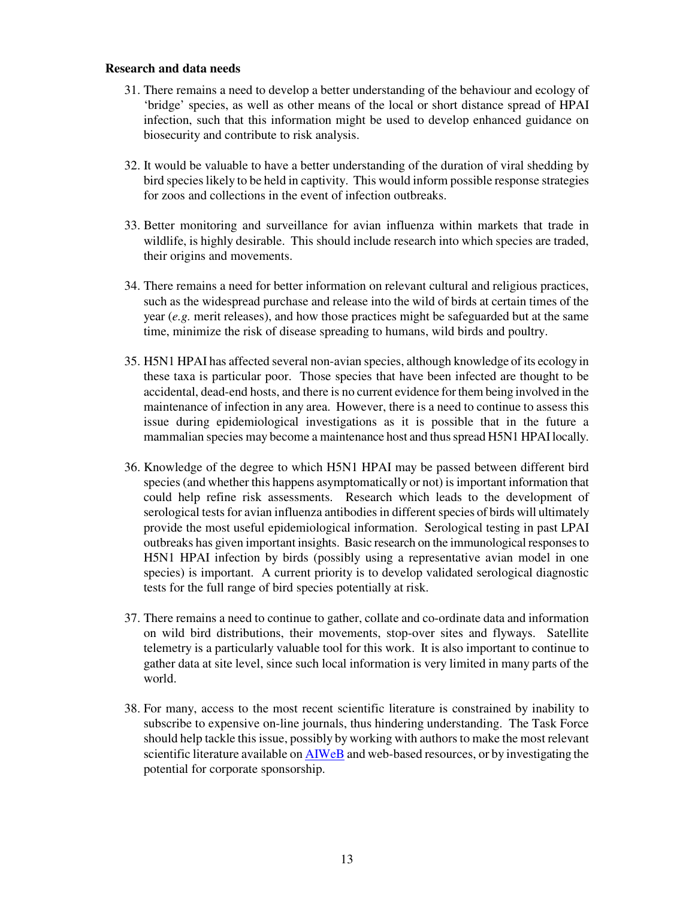#### **Research and data needs**

- 31. There remains a need to develop a better understanding of the behaviour and ecology of 'bridge' species, as well as other means of the local or short distance spread of HPAI infection, such that this information might be used to develop enhanced guidance on biosecurity and contribute to risk analysis.
- 32. It would be valuable to have a better understanding of the duration of viral shedding by bird species likely to be held in captivity. This would inform possible response strategies for zoos and collections in the event of infection outbreaks.
- 33. Better monitoring and surveillance for avian influenza within markets that trade in wildlife, is highly desirable. This should include research into which species are traded, their origins and movements.
- 34. There remains a need for better information on relevant cultural and religious practices, such as the widespread purchase and release into the wild of birds at certain times of the year (*e.g.* merit releases), and how those practices might be safeguarded but at the same time, minimize the risk of disease spreading to humans, wild birds and poultry.
- 35. H5N1 HPAI has affected several non-avian species, although knowledge of its ecology in these taxa is particular poor. Those species that have been infected are thought to be accidental, dead-end hosts, and there is no current evidence for them being involved in the maintenance of infection in any area. However, there is a need to continue to assess this issue during epidemiological investigations as it is possible that in the future a mammalian species may become a maintenance host and thus spread H5N1 HPAI locally.
- 36. Knowledge of the degree to which H5N1 HPAI may be passed between different bird species (and whether this happens asymptomatically or not) is important information that could help refine risk assessments. Research which leads to the development of serological tests for avian influenza antibodies in different species of birds will ultimately provide the most useful epidemiological information. Serological testing in past LPAI outbreaks has given important insights. Basic research on the immunological responses to H5N1 HPAI infection by birds (possibly using a representative avian model in one species) is important. A current priority is to develop validated serological diagnostic tests for the full range of bird species potentially at risk.
- 37. There remains a need to continue to gather, collate and co-ordinate data and information on wild bird distributions, their movements, stop-over sites and flyways. Satellite telemetry is a particularly valuable tool for this work. It is also important to continue to gather data at site level, since such local information is very limited in many parts of the world.
- 38. For many, access to the most recent scientific literature is constrained by inability to subscribe to expensive on-line journals, thus hindering understanding. The Task Force should help tackle this issue, possibly by working with authors to make the most relevant scientific literature available on AIWeB and web-based resources, or by investigating the potential for corporate sponsorship.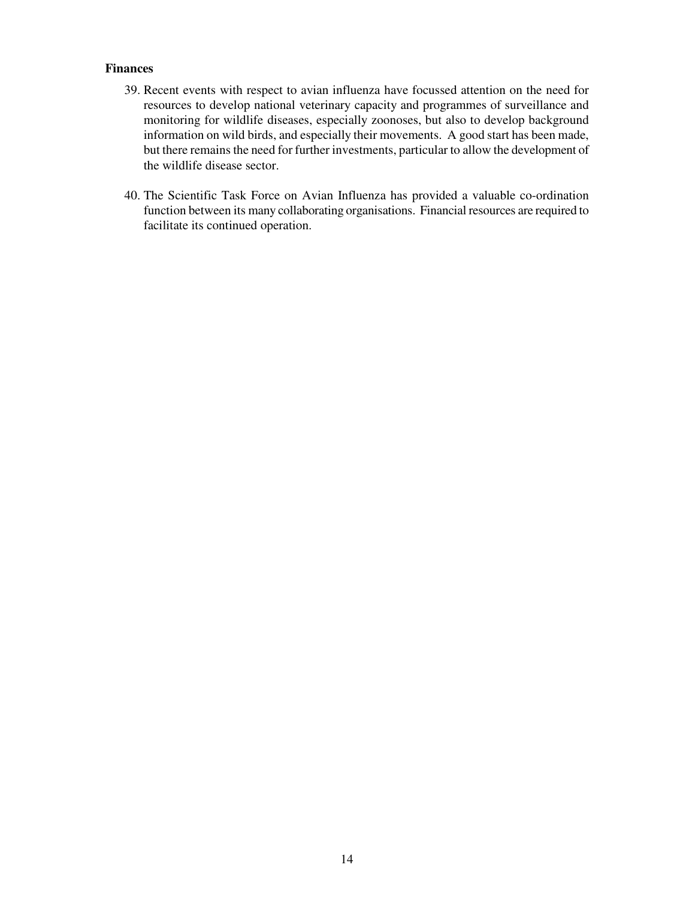# **Finances**

- 39. Recent events with respect to avian influenza have focussed attention on the need for resources to develop national veterinary capacity and programmes of surveillance and monitoring for wildlife diseases, especially zoonoses, but also to develop background information on wild birds, and especially their movements. A good start has been made, but there remains the need for further investments, particular to allow the development of the wildlife disease sector.
- 40. The Scientific Task Force on Avian Influenza has provided a valuable co-ordination function between its many collaborating organisations. Financial resources are required to facilitate its continued operation.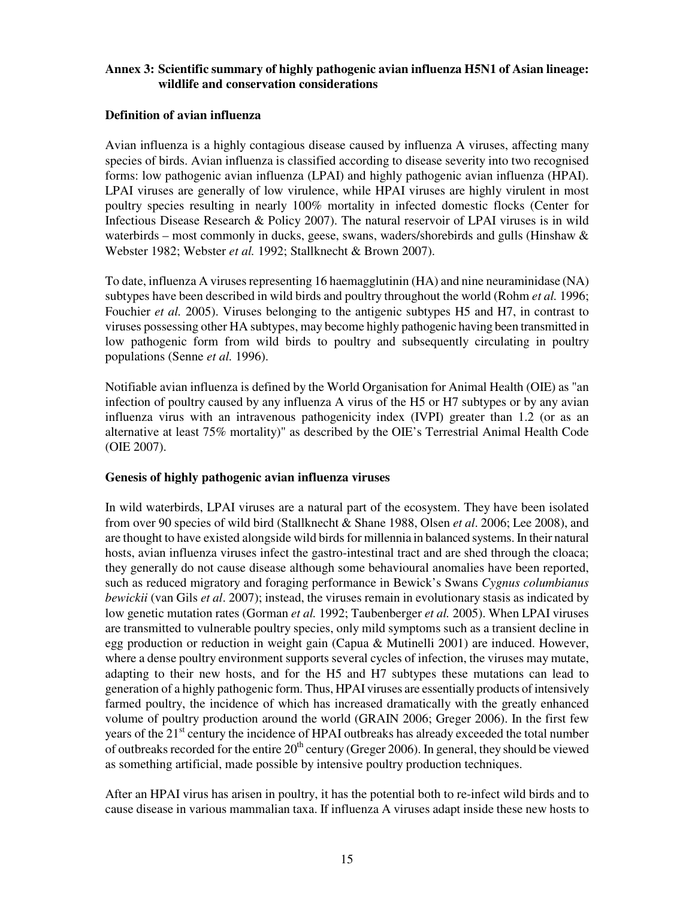## **Annex 3: Scientific summary of highly pathogenic avian influenza H5N1 of Asian lineage: wildlife and conservation considerations**

#### **Definition of avian influenza**

Avian influenza is a highly contagious disease caused by influenza A viruses, affecting many species of birds. Avian influenza is classified according to disease severity into two recognised forms: low pathogenic avian influenza (LPAI) and highly pathogenic avian influenza (HPAI). LPAI viruses are generally of low virulence, while HPAI viruses are highly virulent in most poultry species resulting in nearly 100% mortality in infected domestic flocks (Center for Infectious Disease Research & Policy 2007). The natural reservoir of LPAI viruses is in wild waterbirds – most commonly in ducks, geese, swans, waders/shorebirds and gulls (Hinshaw  $\&$ Webster 1982; Webster *et al.* 1992; Stallknecht & Brown 2007).

To date, influenza A viruses representing 16 haemagglutinin (HA) and nine neuraminidase (NA) subtypes have been described in wild birds and poultry throughout the world (Rohm *et al.* 1996; Fouchier *et al.* 2005). Viruses belonging to the antigenic subtypes H5 and H7, in contrast to viruses possessing other HA subtypes, may become highly pathogenic having been transmitted in low pathogenic form from wild birds to poultry and subsequently circulating in poultry populations (Senne *et al.* 1996).

Notifiable avian influenza is defined by the World Organisation for Animal Health (OIE) as "an infection of poultry caused by any influenza A virus of the H5 or H7 subtypes or by any avian influenza virus with an intravenous pathogenicity index (IVPI) greater than 1.2 (or as an alternative at least 75% mortality)" as described by the OIE's Terrestrial Animal Health Code (OIE 2007).

#### **Genesis of highly pathogenic avian influenza viruses**

In wild waterbirds, LPAI viruses are a natural part of the ecosystem. They have been isolated from over 90 species of wild bird (Stallknecht & Shane 1988, Olsen *et al*. 2006; Lee 2008), and are thought to have existed alongside wild birds for millennia in balanced systems. In their natural hosts, avian influenza viruses infect the gastro-intestinal tract and are shed through the cloaca; they generally do not cause disease although some behavioural anomalies have been reported, such as reduced migratory and foraging performance in Bewick's Swans *Cygnus columbianus bewickii* (van Gils *et al*. 2007); instead, the viruses remain in evolutionary stasis as indicated by low genetic mutation rates (Gorman *et al.* 1992; Taubenberger *et al.* 2005). When LPAI viruses are transmitted to vulnerable poultry species, only mild symptoms such as a transient decline in egg production or reduction in weight gain (Capua & Mutinelli 2001) are induced. However, where a dense poultry environment supports several cycles of infection, the viruses may mutate, adapting to their new hosts, and for the H5 and H7 subtypes these mutations can lead to generation of a highly pathogenic form. Thus, HPAI viruses are essentially products of intensively farmed poultry, the incidence of which has increased dramatically with the greatly enhanced volume of poultry production around the world (GRAIN 2006; Greger 2006). In the first few years of the 21<sup>st</sup> century the incidence of HPAI outbreaks has already exceeded the total number of outbreaks recorded for the entire  $20<sup>th</sup>$  century (Greger 2006). In general, they should be viewed as something artificial, made possible by intensive poultry production techniques.

After an HPAI virus has arisen in poultry, it has the potential both to re-infect wild birds and to cause disease in various mammalian taxa. If influenza A viruses adapt inside these new hosts to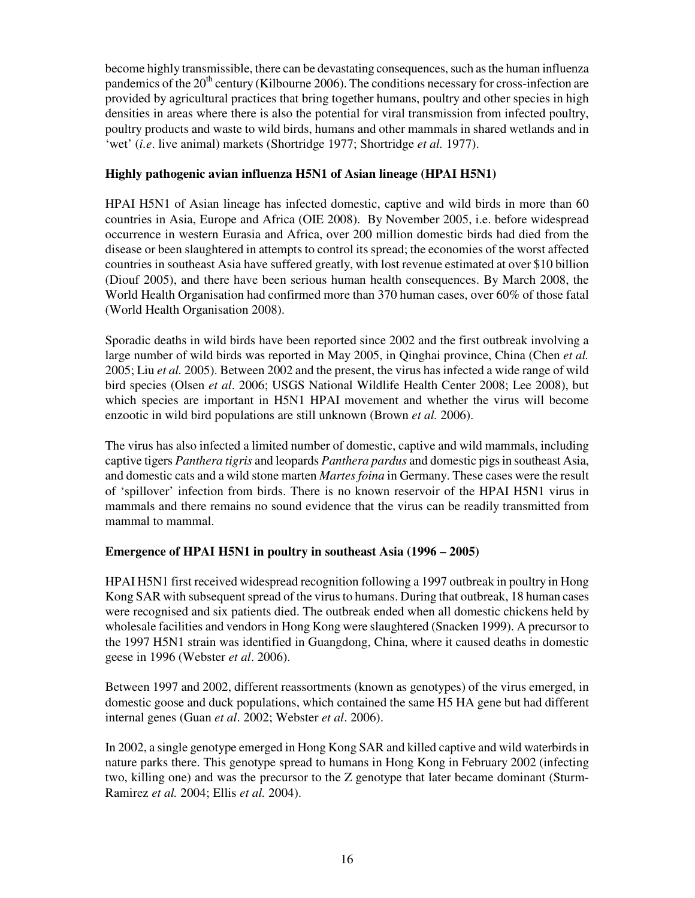become highly transmissible, there can be devastating consequences, such as the human influenza pandemics of the 20<sup>th</sup> century (Kilbourne 2006). The conditions necessary for cross-infection are provided by agricultural practices that bring together humans, poultry and other species in high densities in areas where there is also the potential for viral transmission from infected poultry, poultry products and waste to wild birds, humans and other mammals in shared wetlands and in 'wet' (*i.e*. live animal) markets (Shortridge 1977; Shortridge *et al.* 1977).

# **Highly pathogenic avian influenza H5N1 of Asian lineage (HPAI H5N1)**

HPAI H5N1 of Asian lineage has infected domestic, captive and wild birds in more than 60 countries in Asia, Europe and Africa (OIE 2008). By November 2005, i.e. before widespread occurrence in western Eurasia and Africa, over 200 million domestic birds had died from the disease or been slaughtered in attempts to control its spread; the economies of the worst affected countries in southeast Asia have suffered greatly, with lost revenue estimated at over \$10 billion (Diouf 2005), and there have been serious human health consequences. By March 2008, the World Health Organisation had confirmed more than 370 human cases, over 60% of those fatal (World Health Organisation 2008).

Sporadic deaths in wild birds have been reported since 2002 and the first outbreak involving a large number of wild birds was reported in May 2005, in Qinghai province, China (Chen *et al.* 2005; Liu *et al.* 2005). Between 2002 and the present, the virus has infected a wide range of wild bird species (Olsen *et al*. 2006; USGS National Wildlife Health Center 2008; Lee 2008), but which species are important in H5N1 HPAI movement and whether the virus will become enzootic in wild bird populations are still unknown (Brown *et al.* 2006).

The virus has also infected a limited number of domestic, captive and wild mammals, including captive tigers *Panthera tigris* and leopards *Panthera pardus* and domestic pigs in southeast Asia, and domestic cats and a wild stone marten *Martes foina* in Germany. These cases were the result of 'spillover' infection from birds. There is no known reservoir of the HPAI H5N1 virus in mammals and there remains no sound evidence that the virus can be readily transmitted from mammal to mammal.

# **Emergence of HPAI H5N1 in poultry in southeast Asia (1996 – 2005)**

HPAI H5N1 first received widespread recognition following a 1997 outbreak in poultry in Hong Kong SAR with subsequent spread of the virus to humans. During that outbreak, 18 human cases were recognised and six patients died. The outbreak ended when all domestic chickens held by wholesale facilities and vendors in Hong Kong were slaughtered (Snacken 1999). A precursor to the 1997 H5N1 strain was identified in Guangdong, China, where it caused deaths in domestic geese in 1996 (Webster *et al*. 2006).

Between 1997 and 2002, different reassortments (known as genotypes) of the virus emerged, in domestic goose and duck populations, which contained the same H5 HA gene but had different internal genes (Guan *et al*. 2002; Webster *et al*. 2006).

In 2002, a single genotype emerged in Hong Kong SAR and killed captive and wild waterbirds in nature parks there. This genotype spread to humans in Hong Kong in February 2002 (infecting two, killing one) and was the precursor to the Z genotype that later became dominant (Sturm-Ramirez *et al.* 2004; Ellis *et al.* 2004).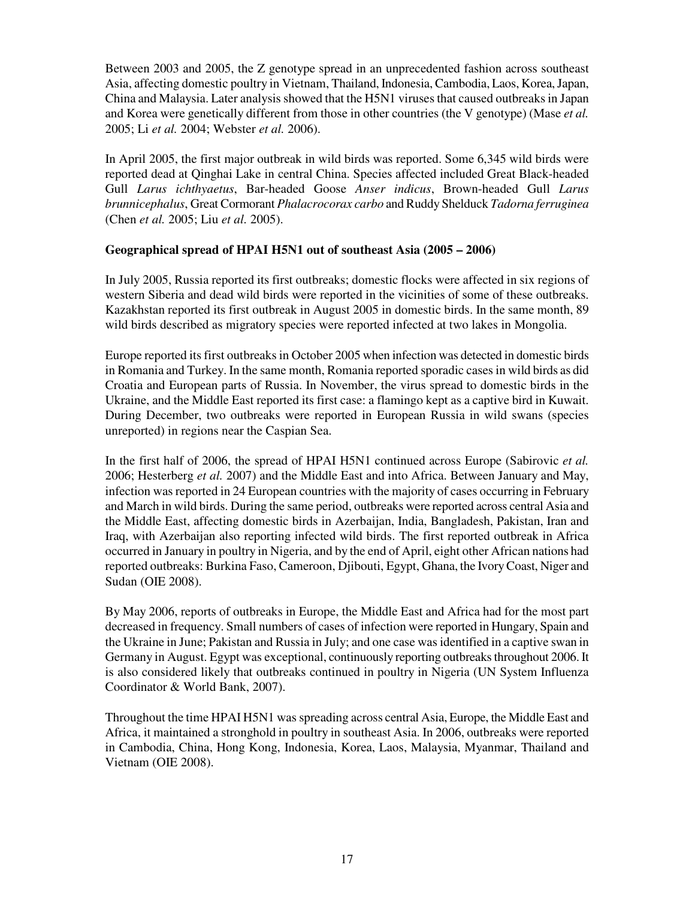Between 2003 and 2005, the Z genotype spread in an unprecedented fashion across southeast Asia, affecting domestic poultry in Vietnam, Thailand, Indonesia, Cambodia, Laos, Korea, Japan, China and Malaysia. Later analysis showed that the H5N1 viruses that caused outbreaks in Japan and Korea were genetically different from those in other countries (the V genotype) (Mase *et al.*  2005; Li *et al.* 2004; Webster *et al.* 2006).

In April 2005, the first major outbreak in wild birds was reported. Some 6,345 wild birds were reported dead at Qinghai Lake in central China. Species affected included Great Black-headed Gull *Larus ichthyaetus*, Bar-headed Goose *Anser indicus*, Brown-headed Gull *Larus brunnicephalus*, Great Cormorant *Phalacrocorax carbo* and Ruddy Shelduck *Tadorna ferruginea*  (Chen *et al.* 2005; Liu *et al.* 2005).

## **Geographical spread of HPAI H5N1 out of southeast Asia (2005 – 2006)**

In July 2005, Russia reported its first outbreaks; domestic flocks were affected in six regions of western Siberia and dead wild birds were reported in the vicinities of some of these outbreaks. Kazakhstan reported its first outbreak in August 2005 in domestic birds. In the same month, 89 wild birds described as migratory species were reported infected at two lakes in Mongolia.

Europe reported its first outbreaks in October 2005 when infection was detected in domestic birds in Romania and Turkey. In the same month, Romania reported sporadic cases in wild birds as did Croatia and European parts of Russia. In November, the virus spread to domestic birds in the Ukraine, and the Middle East reported its first case: a flamingo kept as a captive bird in Kuwait. During December, two outbreaks were reported in European Russia in wild swans (species unreported) in regions near the Caspian Sea.

In the first half of 2006, the spread of HPAI H5N1 continued across Europe (Sabirovic *et al.* 2006; Hesterberg *et al.* 2007) and the Middle East and into Africa. Between January and May, infection was reported in 24 European countries with the majority of cases occurring in February and March in wild birds. During the same period, outbreaks were reported across central Asia and the Middle East, affecting domestic birds in Azerbaijan, India, Bangladesh, Pakistan, Iran and Iraq, with Azerbaijan also reporting infected wild birds. The first reported outbreak in Africa occurred in January in poultry in Nigeria, and by the end of April, eight other African nations had reported outbreaks: Burkina Faso, Cameroon, Djibouti, Egypt, Ghana, the Ivory Coast, Niger and Sudan (OIE 2008).

By May 2006, reports of outbreaks in Europe, the Middle East and Africa had for the most part decreased in frequency. Small numbers of cases of infection were reported in Hungary, Spain and the Ukraine in June; Pakistan and Russia in July; and one case was identified in a captive swan in Germany in August. Egypt was exceptional, continuously reporting outbreaks throughout 2006. It is also considered likely that outbreaks continued in poultry in Nigeria (UN System Influenza Coordinator & World Bank, 2007).

Throughout the time HPAI H5N1 was spreading across central Asia, Europe, the Middle East and Africa, it maintained a stronghold in poultry in southeast Asia. In 2006, outbreaks were reported in Cambodia, China, Hong Kong, Indonesia, Korea, Laos, Malaysia, Myanmar, Thailand and Vietnam (OIE 2008).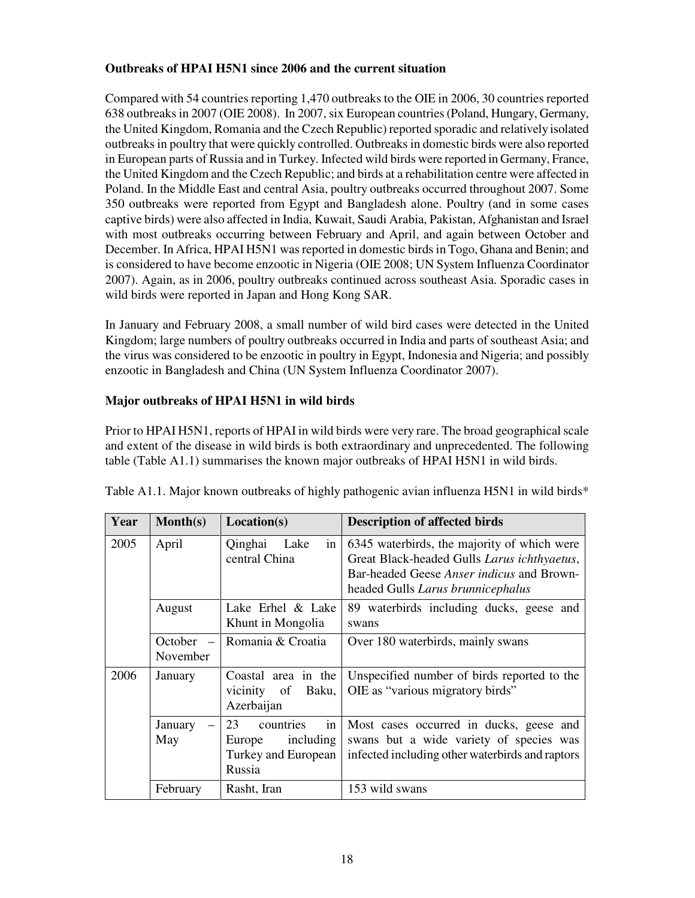# **Outbreaks of HPAI H5N1 since 2006 and the current situation**

Compared with 54 countries reporting 1,470 outbreaks to the OIE in 2006, 30 countries reported 638 outbreaks in 2007 (OIE 2008). In 2007, six European countries (Poland, Hungary, Germany, the United Kingdom, Romania and the Czech Republic) reported sporadic and relatively isolated outbreaks in poultry that were quickly controlled. Outbreaks in domestic birds were also reported in European parts of Russia and in Turkey. Infected wild birds were reported in Germany, France, the United Kingdom and the Czech Republic; and birds at a rehabilitation centre were affected in Poland. In the Middle East and central Asia, poultry outbreaks occurred throughout 2007. Some 350 outbreaks were reported from Egypt and Bangladesh alone. Poultry (and in some cases captive birds) were also affected in India, Kuwait, Saudi Arabia, Pakistan, Afghanistan and Israel with most outbreaks occurring between February and April, and again between October and December. In Africa, HPAI H5N1 was reported in domestic birds in Togo, Ghana and Benin; and is considered to have become enzootic in Nigeria (OIE 2008; UN System Influenza Coordinator 2007). Again, as in 2006, poultry outbreaks continued across southeast Asia. Sporadic cases in wild birds were reported in Japan and Hong Kong SAR.

In January and February 2008, a small number of wild bird cases were detected in the United Kingdom; large numbers of poultry outbreaks occurred in India and parts of southeast Asia; and the virus was considered to be enzootic in poultry in Egypt, Indonesia and Nigeria; and possibly enzootic in Bangladesh and China (UN System Influenza Coordinator 2007).

# **Major outbreaks of HPAI H5N1 in wild birds**

Prior to HPAI H5N1, reports of HPAI in wild birds were very rare. The broad geographical scale and extent of the disease in wild birds is both extraordinary and unprecedented. The following table (Table A1.1) summarises the known major outbreaks of HPAI H5N1 in wild birds.

| Year | $\text{Month}(s)$                               | Location(s)                                                                   | <b>Description of affected birds</b>                                                                                                                                         |
|------|-------------------------------------------------|-------------------------------------------------------------------------------|------------------------------------------------------------------------------------------------------------------------------------------------------------------------------|
| 2005 | April                                           | Qinghai<br>Lake<br>in <sub>1</sub><br>central China                           | 6345 waterbirds, the majority of which were<br>Great Black-headed Gulls Larus ichthyaetus,<br>Bar-headed Geese Anser indicus and Brown-<br>headed Gulls Larus brunnicephalus |
|      | August                                          | Lake Erhel & Lake<br>Khunt in Mongolia                                        | 89 waterbirds including ducks, geese and<br>swans                                                                                                                            |
|      | October<br>$\overline{\phantom{0}}$<br>November | Romania & Croatia                                                             | Over 180 waterbirds, mainly swans                                                                                                                                            |
| 2006 | January                                         | in the<br>Coastal area<br>Baku,<br>vicinity of<br>Azerbaijan                  | Unspecified number of birds reported to the<br>OIE as "various migratory birds"                                                                                              |
|      | January<br>$\equiv$<br>May                      | countries<br>23<br>in<br>including<br>Europe<br>Turkey and European<br>Russia | Most cases occurred in ducks, geese and<br>swans but a wide variety of species was<br>infected including other waterbirds and raptors                                        |
|      | February                                        | Rasht, Iran                                                                   | 153 wild swans                                                                                                                                                               |

| Table A1.1. Major known outbreaks of highly pathogenic avian influenza H5N1 in wild birds* |  |  |  |  |
|--------------------------------------------------------------------------------------------|--|--|--|--|
|--------------------------------------------------------------------------------------------|--|--|--|--|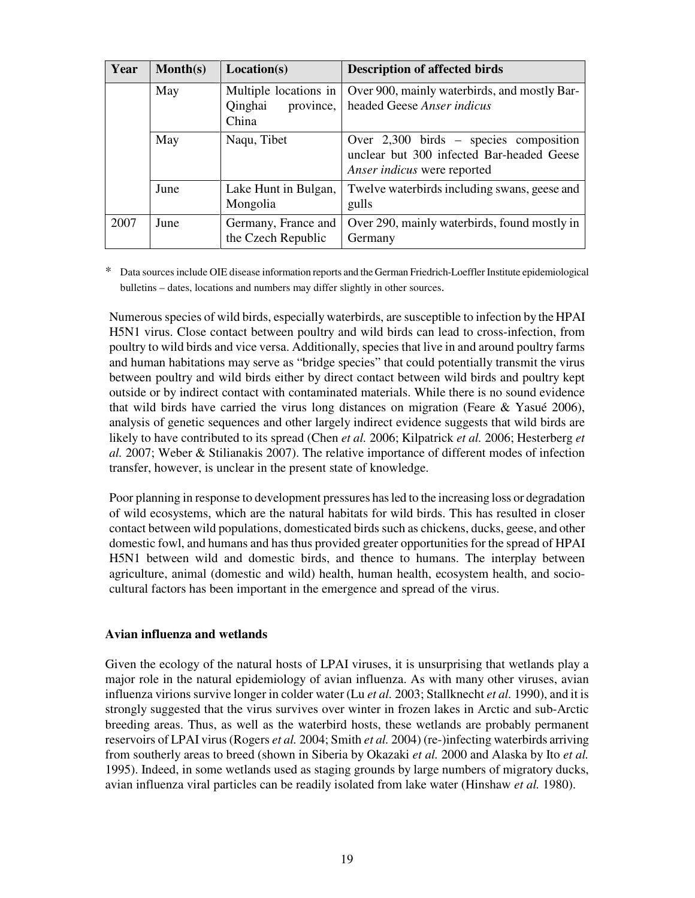| Year | $\text{Month}(s)$ | Location(s)                                            | <b>Description of affected birds</b>                                                                                 |
|------|-------------------|--------------------------------------------------------|----------------------------------------------------------------------------------------------------------------------|
|      | May               | Multiple locations in<br>Qinghai<br>province,<br>China | Over 900, mainly waterbirds, and mostly Bar-<br>headed Geese Anser indicus                                           |
| May  |                   | Naqu, Tibet                                            | Over $2,300$ birds – species composition<br>unclear but 300 infected Bar-headed Geese<br>Anser indicus were reported |
|      | June              | Lake Hunt in Bulgan,<br>Mongolia                       | Twelve waterbirds including swans, geese and<br>gulls                                                                |
| 2007 | June              | Germany, France and<br>the Czech Republic              | Over 290, mainly waterbirds, found mostly in<br>Germany                                                              |

Data sources include OIE disease information reports and the German Friedrich-Loeffler Institute epidemiological bulletins – dates, locations and numbers may differ slightly in other sources.

Numerous species of wild birds, especially waterbirds, are susceptible to infection by the HPAI H5N1 virus. Close contact between poultry and wild birds can lead to cross-infection, from poultry to wild birds and vice versa. Additionally, species that live in and around poultry farms and human habitations may serve as "bridge species" that could potentially transmit the virus between poultry and wild birds either by direct contact between wild birds and poultry kept outside or by indirect contact with contaminated materials. While there is no sound evidence that wild birds have carried the virus long distances on migration (Feare  $\&$  Yasué 2006), analysis of genetic sequences and other largely indirect evidence suggests that wild birds are likely to have contributed to its spread (Chen *et al.* 2006; Kilpatrick *et al.* 2006; Hesterberg *et al.* 2007; Weber & Stilianakis 2007). The relative importance of different modes of infection transfer, however, is unclear in the present state of knowledge.

Poor planning in response to development pressures has led to the increasing loss or degradation of wild ecosystems, which are the natural habitats for wild birds. This has resulted in closer contact between wild populations, domesticated birds such as chickens, ducks, geese, and other domestic fowl, and humans and has thus provided greater opportunities for the spread of HPAI H5N1 between wild and domestic birds, and thence to humans. The interplay between agriculture, animal (domestic and wild) health, human health, ecosystem health, and sociocultural factors has been important in the emergence and spread of the virus.

#### **Avian influenza and wetlands**

Given the ecology of the natural hosts of LPAI viruses, it is unsurprising that wetlands play a major role in the natural epidemiology of avian influenza. As with many other viruses, avian influenza virions survive longer in colder water (Lu *et al.* 2003; Stallknecht *et al.* 1990), and it is strongly suggested that the virus survives over winter in frozen lakes in Arctic and sub-Arctic breeding areas. Thus, as well as the waterbird hosts, these wetlands are probably permanent reservoirs of LPAI virus (Rogers *et al.* 2004; Smith *et al.* 2004) (re-)infecting waterbirds arriving from southerly areas to breed (shown in Siberia by Okazaki *et al.* 2000 and Alaska by Ito *et al.* 1995). Indeed, in some wetlands used as staging grounds by large numbers of migratory ducks, avian influenza viral particles can be readily isolated from lake water (Hinshaw *et al.* 1980).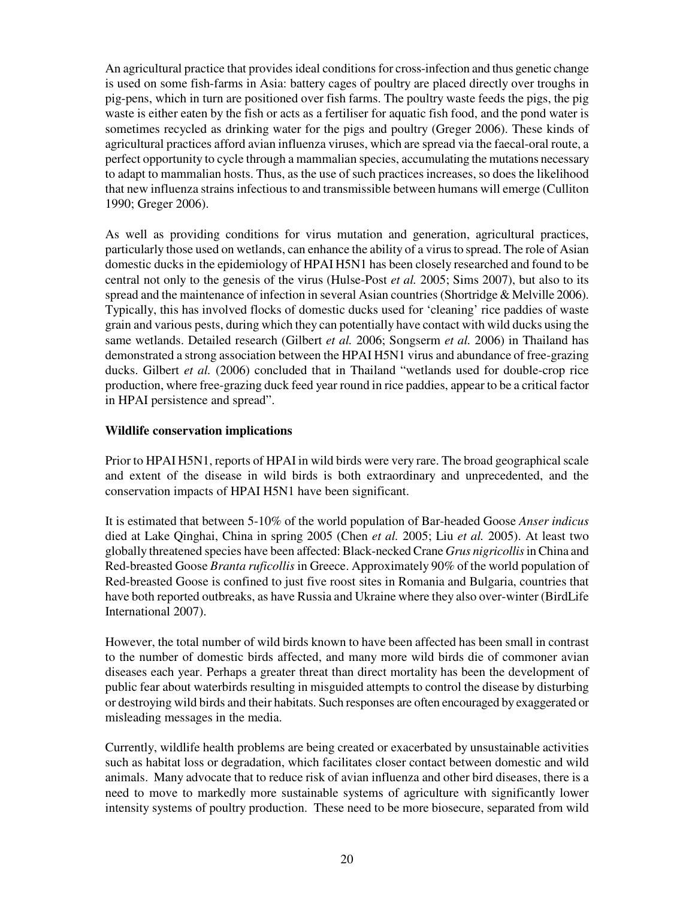An agricultural practice that provides ideal conditions for cross-infection and thus genetic change is used on some fish-farms in Asia: battery cages of poultry are placed directly over troughs in pig-pens, which in turn are positioned over fish farms. The poultry waste feeds the pigs, the pig waste is either eaten by the fish or acts as a fertiliser for aquatic fish food, and the pond water is sometimes recycled as drinking water for the pigs and poultry (Greger 2006). These kinds of agricultural practices afford avian influenza viruses, which are spread via the faecal-oral route, a perfect opportunity to cycle through a mammalian species, accumulating the mutations necessary to adapt to mammalian hosts. Thus, as the use of such practices increases, so does the likelihood that new influenza strains infectious to and transmissible between humans will emerge (Culliton 1990; Greger 2006).

As well as providing conditions for virus mutation and generation, agricultural practices, particularly those used on wetlands, can enhance the ability of a virus to spread. The role of Asian domestic ducks in the epidemiology of HPAI H5N1 has been closely researched and found to be central not only to the genesis of the virus (Hulse-Post *et al.* 2005; Sims 2007), but also to its spread and the maintenance of infection in several Asian countries (Shortridge & Melville 2006). Typically, this has involved flocks of domestic ducks used for 'cleaning' rice paddies of waste grain and various pests, during which they can potentially have contact with wild ducks using the same wetlands. Detailed research (Gilbert *et al.* 2006; Songserm *et al.* 2006) in Thailand has demonstrated a strong association between the HPAI H5N1 virus and abundance of free-grazing ducks. Gilbert *et al.* (2006) concluded that in Thailand "wetlands used for double-crop rice production, where free-grazing duck feed year round in rice paddies, appear to be a critical factor in HPAI persistence and spread".

# **Wildlife conservation implications**

Prior to HPAI H5N1, reports of HPAI in wild birds were very rare. The broad geographical scale and extent of the disease in wild birds is both extraordinary and unprecedented, and the conservation impacts of HPAI H5N1 have been significant.

It is estimated that between 5-10% of the world population of Bar-headed Goose *Anser indicus* died at Lake Qinghai, China in spring 2005 (Chen *et al.* 2005; Liu *et al.* 2005). At least two globally threatened species have been affected: Black-necked Crane *Grus nigricollis* in China and Red-breasted Goose *Branta ruficollis* in Greece. Approximately 90% of the world population of Red-breasted Goose is confined to just five roost sites in Romania and Bulgaria, countries that have both reported outbreaks, as have Russia and Ukraine where they also over-winter (BirdLife International 2007).

However, the total number of wild birds known to have been affected has been small in contrast to the number of domestic birds affected, and many more wild birds die of commoner avian diseases each year. Perhaps a greater threat than direct mortality has been the development of public fear about waterbirds resulting in misguided attempts to control the disease by disturbing or destroying wild birds and their habitats. Such responses are often encouraged by exaggerated or misleading messages in the media.

Currently, wildlife health problems are being created or exacerbated by unsustainable activities such as habitat loss or degradation, which facilitates closer contact between domestic and wild animals. Many advocate that to reduce risk of avian influenza and other bird diseases, there is a need to move to markedly more sustainable systems of agriculture with significantly lower intensity systems of poultry production. These need to be more biosecure, separated from wild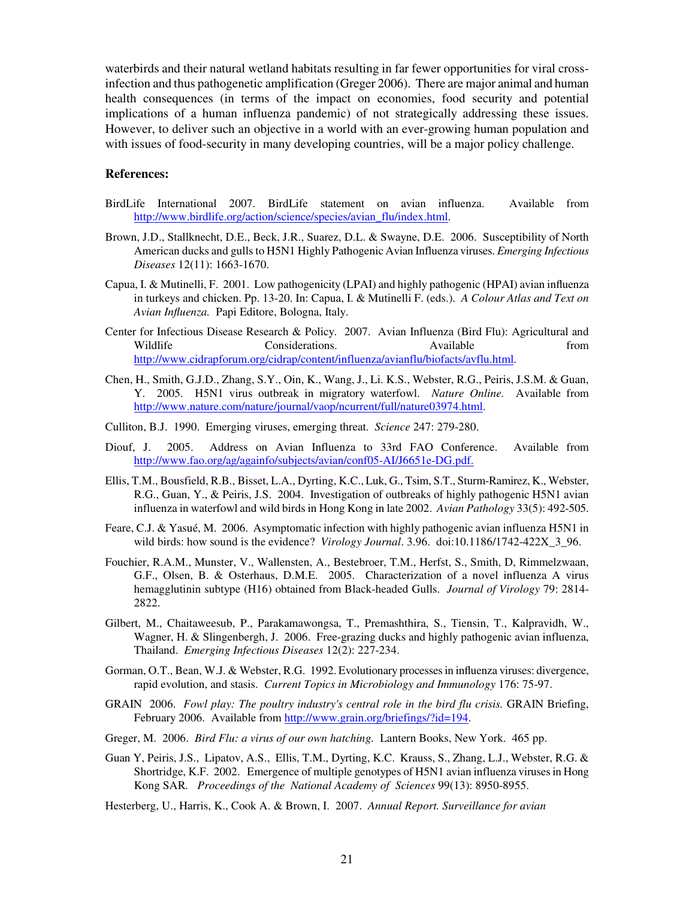waterbirds and their natural wetland habitats resulting in far fewer opportunities for viral crossinfection and thus pathogenetic amplification (Greger 2006). There are major animal and human health consequences (in terms of the impact on economies, food security and potential implications of a human influenza pandemic) of not strategically addressing these issues. However, to deliver such an objective in a world with an ever-growing human population and with issues of food-security in many developing countries, will be a major policy challenge.

#### **References:**

- BirdLife International 2007. BirdLife statement on avian influenza. Available from http://www.birdlife.org/action/science/species/avian\_flu/index.html.
- Brown, J.D., Stallknecht, D.E., Beck, J.R., Suarez, D.L. & Swayne, D.E. 2006. Susceptibility of North American ducks and gulls to H5N1 Highly Pathogenic Avian Influenza viruses. *Emerging Infectious Diseases* 12(11): 1663-1670.
- Capua, I. & Mutinelli, F. 2001. Low pathogenicity (LPAI) and highly pathogenic (HPAI) avian influenza in turkeys and chicken. Pp. 13-20. In: Capua, I. & Mutinelli F. (eds.). *A Colour Atlas and Text on Avian Influenza.* Papi Editore, Bologna, Italy.
- Center for Infectious Disease Research & Policy. 2007. Avian Influenza (Bird Flu): Agricultural and<br>Wildlife Considerations. Available from Considerations. Available from http://www.cidrapforum.org/cidrap/content/influenza/avianflu/biofacts/avflu.html.
- Chen, H., Smith, G.J.D., Zhang, S.Y., Oin, K., Wang, J., Li. K.S., Webster, R.G., Peiris, J.S.M. & Guan, Y. 2005. H5N1 virus outbreak in migratory waterfowl. *Nature Online.* Available from http://www.nature.com/nature/journal/vaop/ncurrent/full/nature03974.html.
- Culliton, B.J. 1990. Emerging viruses, emerging threat. *Science* 247: 279-280.
- Diouf, J. 2005. Address on Avian Influenza to 33rd FAO Conference. Available from http://www.fao.org/ag/againfo/subjects/avian/conf05-AI/J6651e-DG.pdf.
- Ellis, T.M., Bousfield, R.B., Bisset, L.A., Dyrting, K.C., Luk, G., Tsim, S.T., Sturm-Ramirez, K., Webster, R.G., Guan, Y., & Peiris, J.S. 2004. Investigation of outbreaks of highly pathogenic H5N1 avian influenza in waterfowl and wild birds in Hong Kong in late 2002. *Avian Pathology* 33(5): 492-505.
- Feare, C.J. & Yasué, M. 2006. Asymptomatic infection with highly pathogenic avian influenza H5N1 in wild birds: how sound is the evidence? *Virology Journal*. 3.96. doi:10.1186/1742-422X\_3\_96.
- Fouchier, R.A.M., Munster, V., Wallensten, A., Bestebroer, T.M., Herfst, S., Smith, D, Rimmelzwaan, G.F., Olsen, B. & Osterhaus, D.M.E. 2005. Characterization of a novel influenza A virus hemagglutinin subtype (H16) obtained from Black-headed Gulls. *Journal of Virology* 79: 2814- 2822.
- Gilbert, M., Chaitaweesub, P., Parakamawongsa, T., Premashthira, S., Tiensin, T., Kalpravidh, W., Wagner, H. & Slingenbergh, J. 2006. Free-grazing ducks and highly pathogenic avian influenza, Thailand. *Emerging Infectious Diseases* 12(2): 227-234.
- Gorman, O.T., Bean, W.J. & Webster, R.G. 1992. Evolutionary processes in influenza viruses: divergence, rapid evolution, and stasis. *Current Topics in Microbiology and Immunology* 176: 75-97.
- GRAIN 2006. Fowl play: The poultry industry's central role in the bird flu crisis. GRAIN Briefing, February 2006. Available from http://www.grain.org/briefings/?id=194.
- Greger, M. 2006. *Bird Flu: a virus of our own hatching.* Lantern Books, New York. 465 pp.
- Guan Y, Peiris, J.S., Lipatov, A.S., Ellis, T.M., Dyrting, K.C. Krauss, S., Zhang, L.J., Webster, R.G. & Shortridge, K.F. 2002. Emergence of multiple genotypes of H5N1 avian influenza viruses in Hong Kong SAR*. Proceedings of the National Academy of Sciences* 99(13): 8950-8955.
- Hesterberg, U., Harris, K., Cook A. & Brown, I. 2007. *Annual Report. Surveillance for avian*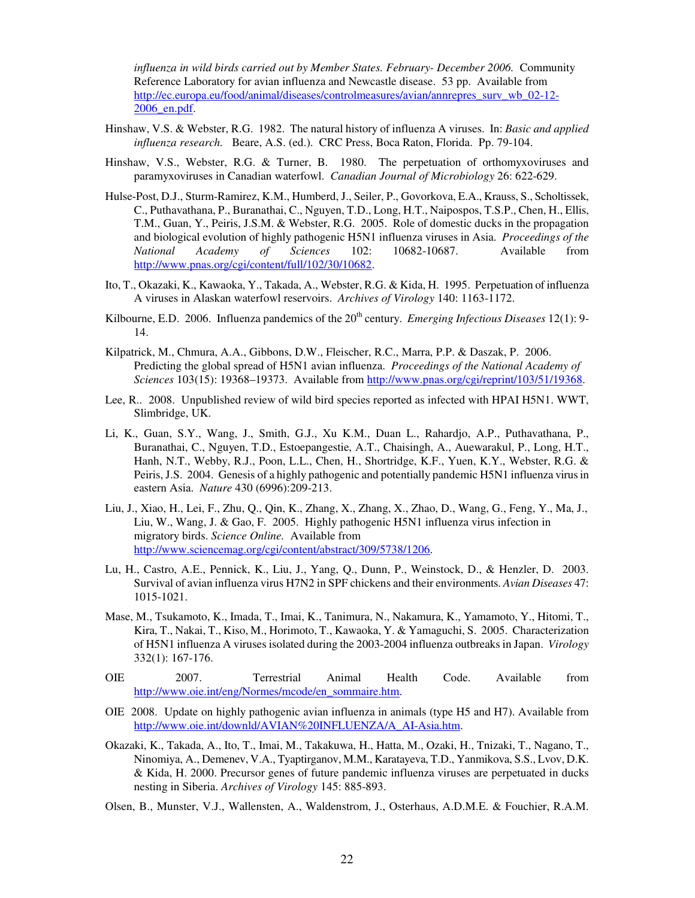*influenza in wild birds carried out by Member States. February- December 2006.* Community Reference Laboratory for avian influenza and Newcastle disease. 53 pp. Available from http://ec.europa.eu/food/animal/diseases/controlmeasures/avian/annrepres\_surv\_wb\_02-12- 2006\_en.pdf.

- Hinshaw, V.S. & Webster, R.G. 1982. The natural history of influenza A viruses. In: *Basic and applied influenza research.* Beare, A.S. (ed.). CRC Press, Boca Raton, Florida. Pp. 79-104.
- Hinshaw, V.S., Webster, R.G. & Turner, B. 1980. The perpetuation of orthomyxoviruses and paramyxoviruses in Canadian waterfowl. *Canadian Journal of Microbiology* 26: 622-629.
- Hulse-Post, D.J., Sturm-Ramirez, K.M., Humberd, J., Seiler, P., Govorkova, E.A., Krauss, S., Scholtissek, C., Puthavathana, P., Buranathai, C., Nguyen, T.D., Long, H.T., Naipospos, T.S.P., Chen, H., Ellis, T.M., Guan, Y., Peiris, J.S.M. & Webster, R.G. 2005. Role of domestic ducks in the propagation and biological evolution of highly pathogenic H5N1 influenza viruses in Asia. *Proceedings of the National Academy of Sciences* 102: 10682-10687. Available from http://www.pnas.org/cgi/content/full/102/30/10682.
- Ito, T., Okazaki, K., Kawaoka, Y., Takada, A., Webster, R.G. & Kida, H. 1995. Perpetuation of influenza A viruses in Alaskan waterfowl reservoirs. *Archives of Virology* 140: 1163-1172.
- Kilbourne, E.D. 2006. Influenza pandemics of the 20<sup>th</sup> century. *Emerging Infectious Diseases* 12(1): 9-14.
- Kilpatrick, M., Chmura, A.A., Gibbons, D.W., Fleischer, R.C., Marra, P.P. & Daszak, P. 2006. Predicting the global spread of H5N1 avian influenza. *Proceedings of the National Academy of Sciences* 103(15): 19368–19373. Available from http://www.pnas.org/cgi/reprint/103/51/19368.
- Lee, R.. 2008. Unpublished review of wild bird species reported as infected with HPAI H5N1. WWT, Slimbridge, UK.
- Li, K., Guan, S.Y., Wang, J., Smith, G.J., Xu K.M., Duan L., Rahardjo, A.P., Puthavathana, P., Buranathai, C., Nguyen, T.D., Estoepangestie, A.T., Chaisingh, A., Auewarakul, P., Long, H.T., Hanh, N.T., Webby, R.J., Poon, L.L., Chen, H., Shortridge, K.F., Yuen, K.Y., Webster, R.G. & Peiris, J.S. 2004. Genesis of a highly pathogenic and potentially pandemic H5N1 influenza virus in eastern Asia. *Nature* 430 (6996):209-213.
- Liu, J., Xiao, H., Lei, F., Zhu, Q., Qin, K., Zhang, X., Zhang, X., Zhao, D., Wang, G., Feng, Y., Ma, J., Liu, W., Wang, J. & Gao, F. 2005. Highly pathogenic H5N1 influenza virus infection in migratory birds. *Science Online.* Available from http://www.sciencemag.org/cgi/content/abstract/309/5738/1206.
- Lu, H., Castro, A.E., Pennick, K., Liu, J., Yang, Q., Dunn, P., Weinstock, D., & Henzler, D. 2003. Survival of avian influenza virus H7N2 in SPF chickens and their environments. *Avian Diseases* 47: 1015-1021.
- Mase, M., Tsukamoto, K., Imada, T., Imai, K., Tanimura, N., Nakamura, K., Yamamoto, Y., Hitomi, T., Kira, T., Nakai, T., Kiso, M., Horimoto, T., Kawaoka, Y. & Yamaguchi, S. 2005. Characterization of H5N1 influenza A viruses isolated during the 2003-2004 influenza outbreaks in Japan. *Virology* 332(1): 167-176.
- OIE 2007. Terrestrial Animal Health Code. Available from http://www.oie.int/eng/Normes/mcode/en\_sommaire.htm.
- OIE 2008. Update on highly pathogenic avian influenza in animals (type H5 and H7). Available from http://www.oie.int/downld/AVIAN%20INFLUENZA/A\_AI-Asia.htm.
- Okazaki, K., Takada, A., Ito, T., Imai, M., Takakuwa, H., Hatta, M., Ozaki, H., Tnizaki, T., Nagano, T., Ninomiya, A., Demenev, V.A., Tyaptirganov, M.M., Karatayeva, T.D., Yanmikova, S.S., Lvov, D.K. & Kida, H. 2000. Precursor genes of future pandemic influenza viruses are perpetuated in ducks nesting in Siberia. *Archives of Virology* 145: 885-893.
- Olsen, B., Munster, V.J., Wallensten, A., Waldenstrom, J., Osterhaus, A.D.M.E. & Fouchier, R.A.M.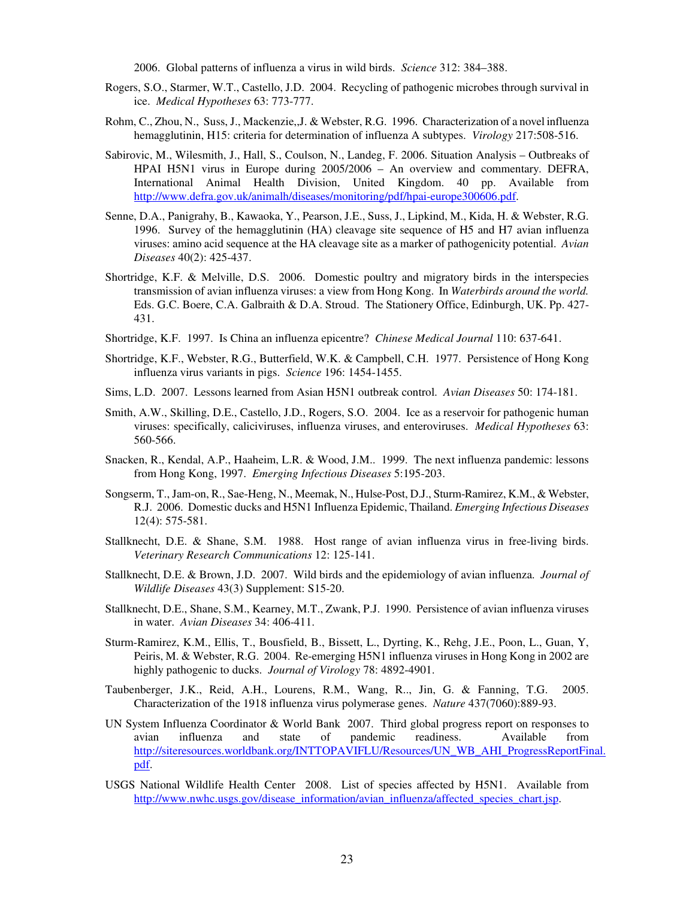2006. Global patterns of influenza a virus in wild birds. *Science* 312: 384–388.

- Rogers, S.O., Starmer, W.T., Castello, J.D. 2004. Recycling of pathogenic microbes through survival in ice. *Medical Hypotheses* 63: 773-777.
- Rohm, C., Zhou, N., Suss, J., Mackenzie,,J. & Webster, R.G. 1996. Characterization of a novel influenza hemagglutinin, H15: criteria for determination of influenza A subtypes. *Virology* 217:508-516.
- Sabirovic, M., Wilesmith, J., Hall, S., Coulson, N., Landeg, F. 2006. Situation Analysis Outbreaks of HPAI H5N1 virus in Europe during 2005/2006 – An overview and commentary. DEFRA, International Animal Health Division, United Kingdom. 40 pp. Available from http://www.defra.gov.uk/animalh/diseases/monitoring/pdf/hpai-europe300606.pdf.
- Senne, D.A., Panigrahy, B., Kawaoka, Y., Pearson, J.E., Suss, J., Lipkind, M., Kida, H. & Webster, R.G. 1996. Survey of the hemagglutinin (HA) cleavage site sequence of H5 and H7 avian influenza viruses: amino acid sequence at the HA cleavage site as a marker of pathogenicity potential. *Avian Diseases* 40(2): 425-437.
- Shortridge, K.F. & Melville, D.S. 2006. Domestic poultry and migratory birds in the interspecies transmission of avian influenza viruses: a view from Hong Kong. In *Waterbirds around the world.*  Eds. G.C. Boere, C.A. Galbraith & D.A. Stroud. The Stationery Office, Edinburgh, UK. Pp. 427- 431.
- Shortridge, K.F. 1997. Is China an influenza epicentre? *Chinese Medical Journal* 110: 637-641.
- Shortridge, K.F., Webster, R.G., Butterfield, W.K. & Campbell, C.H. 1977. Persistence of Hong Kong influenza virus variants in pigs. *Science* 196: 1454-1455.
- Sims, L.D. 2007. Lessons learned from Asian H5N1 outbreak control. *Avian Diseases* 50: 174-181.
- Smith, A.W., Skilling, D.E., Castello, J.D., Rogers, S.O. 2004. Ice as a reservoir for pathogenic human viruses: specifically, caliciviruses, influenza viruses, and enteroviruses. *Medical Hypotheses* 63: 560-566.
- Snacken, R., Kendal, A.P., Haaheim, L.R. & Wood, J.M.. 1999. The next influenza pandemic: lessons from Hong Kong, 1997. *Emerging Infectious Diseases* 5:195-203.
- Songserm, T., Jam-on, R., Sae-Heng, N., Meemak, N., Hulse-Post, D.J., Sturm-Ramirez, K.M., & Webster, R.J. 2006. Domestic ducks and H5N1 Influenza Epidemic, Thailand. *Emerging Infectious Diseases* 12(4): 575-581.
- Stallknecht, D.E. & Shane, S.M. 1988. Host range of avian influenza virus in free-living birds. *Veterinary Research Communications* 12: 125-141.
- Stallknecht, D.E. & Brown, J.D. 2007. Wild birds and the epidemiology of avian influenza. *Journal of Wildlife Diseases* 43(3) Supplement: S15-20.
- Stallknecht, D.E., Shane, S.M., Kearney, M.T., Zwank, P.J. 1990. Persistence of avian influenza viruses in water. *Avian Diseases* 34: 406-411.
- Sturm-Ramirez, K.M., Ellis, T., Bousfield, B., Bissett, L., Dyrting, K., Rehg, J.E., Poon, L., Guan, Y, Peiris, M. & Webster, R.G. 2004. Re-emerging H5N1 influenza viruses in Hong Kong in 2002 are highly pathogenic to ducks. *Journal of Virology* 78: 4892-4901.
- Taubenberger, J.K., Reid, A.H., Lourens, R.M., Wang, R.., Jin, G. & Fanning, T.G. 2005. Characterization of the 1918 influenza virus polymerase genes. *Nature* 437(7060):889-93.
- UN System Influenza Coordinator & World Bank 2007. Third global progress report on responses to avian influenza and state of pandemic readiness. Available from http://siteresources.worldbank.org/INTTOPAVIFLU/Resources/UN\_WB\_AHI\_ProgressReportFinal. pdf.
- USGS National Wildlife Health Center 2008. List of species affected by H5N1. Available from http://www.nwhc.usgs.gov/disease\_information/avian\_influenza/affected\_species\_chart.jsp.